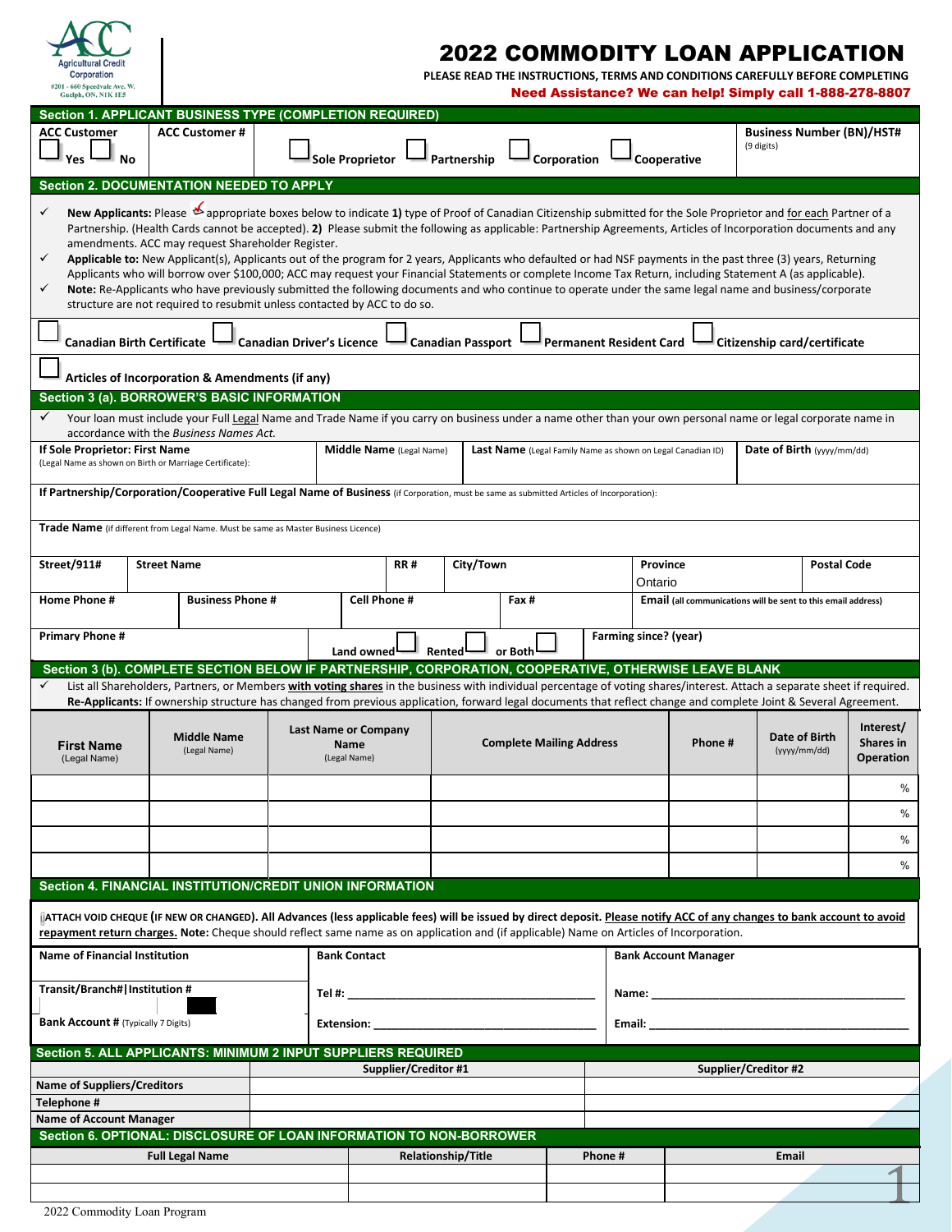

# 2022 COMMODITY LOAN APPLICATION

 **PLEASE READ THE INSTRUCTIONS, TERMS AND CONDITIONS CAREFULLY BEFORE COMPLETING** Need Assistance? We can help! Simply call 1-888-278-8807

| Section 1. APPLICANT BUSINESS TYPE (COMPLETION REQUIRED)                                                                                                                                                                                                                                                                                                                                                                                                                                                                                                                                                                                                                                                                                                                                                                                                                                                                                                                                       |                                                                                                                                                                                                          |  |                                            |                                                                                                                |             |                                                             |                                                                      |                     |                                                                                                                                                                                                                                     |                                                |                               |                        |
|------------------------------------------------------------------------------------------------------------------------------------------------------------------------------------------------------------------------------------------------------------------------------------------------------------------------------------------------------------------------------------------------------------------------------------------------------------------------------------------------------------------------------------------------------------------------------------------------------------------------------------------------------------------------------------------------------------------------------------------------------------------------------------------------------------------------------------------------------------------------------------------------------------------------------------------------------------------------------------------------|----------------------------------------------------------------------------------------------------------------------------------------------------------------------------------------------------------|--|--------------------------------------------|----------------------------------------------------------------------------------------------------------------|-------------|-------------------------------------------------------------|----------------------------------------------------------------------|---------------------|-------------------------------------------------------------------------------------------------------------------------------------------------------------------------------------------------------------------------------------|------------------------------------------------|-------------------------------|------------------------|
| <b>ACC Customer</b><br>Yes <sup>1</sup><br>- No                                                                                                                                                                                                                                                                                                                                                                                                                                                                                                                                                                                                                                                                                                                                                                                                                                                                                                                                                | <b>ACC Customer#</b>                                                                                                                                                                                     |  | <b>Sole Proprietor</b>                     |                                                                                                                | Partnership | Corporation                                                 |                                                                      | Cooperative         |                                                                                                                                                                                                                                     | <b>Business Number (BN)/HST#</b><br>(9 digits) |                               |                        |
| <b>Section 2. DOCUMENTATION NEEDED TO APPLY</b>                                                                                                                                                                                                                                                                                                                                                                                                                                                                                                                                                                                                                                                                                                                                                                                                                                                                                                                                                |                                                                                                                                                                                                          |  |                                            |                                                                                                                |             |                                                             |                                                                      |                     |                                                                                                                                                                                                                                     |                                                |                               |                        |
| New Applicants: Please $\mathfrak{G}$ appropriate boxes below to indicate 1) type of Proof of Canadian Citizenship submitted for the Sole Proprietor and for each Partner of a<br>✓<br>Partnership. (Health Cards cannot be accepted). 2) Please submit the following as applicable: Partnership Agreements, Articles of Incorporation documents and any<br>amendments. ACC may request Shareholder Register.<br>✓<br>Applicable to: New Applicant(s), Applicants out of the program for 2 years, Applicants who defaulted or had NSF payments in the past three (3) years, Returning<br>Applicants who will borrow over \$100,000; ACC may request your Financial Statements or complete Income Tax Return, including Statement A (as applicable).<br>✓<br>Note: Re-Applicants who have previously submitted the following documents and who continue to operate under the same legal name and business/corporate<br>structure are not required to resubmit unless contacted by ACC to do so. |                                                                                                                                                                                                          |  |                                            |                                                                                                                |             |                                                             |                                                                      |                     |                                                                                                                                                                                                                                     |                                                |                               |                        |
| <b>Canadian Birth Certificate</b><br><b>Canadian Driver's Licence</b><br><b>Canadian Passport</b><br><b>Permanent Resident Card</b><br>Citizenship card/certificate                                                                                                                                                                                                                                                                                                                                                                                                                                                                                                                                                                                                                                                                                                                                                                                                                            |                                                                                                                                                                                                          |  |                                            |                                                                                                                |             |                                                             |                                                                      |                     |                                                                                                                                                                                                                                     |                                                |                               |                        |
|                                                                                                                                                                                                                                                                                                                                                                                                                                                                                                                                                                                                                                                                                                                                                                                                                                                                                                                                                                                                | Articles of Incorporation & Amendments (if any)                                                                                                                                                          |  |                                            |                                                                                                                |             |                                                             |                                                                      |                     |                                                                                                                                                                                                                                     |                                                |                               |                        |
| Section 3 (a). BORROWER'S BASIC INFORMATION                                                                                                                                                                                                                                                                                                                                                                                                                                                                                                                                                                                                                                                                                                                                                                                                                                                                                                                                                    |                                                                                                                                                                                                          |  |                                            |                                                                                                                |             |                                                             |                                                                      |                     |                                                                                                                                                                                                                                     |                                                |                               |                        |
| ✓                                                                                                                                                                                                                                                                                                                                                                                                                                                                                                                                                                                                                                                                                                                                                                                                                                                                                                                                                                                              | Your loan must include your Full Legal Name and Trade Name if you carry on business under a name other than your own personal name or legal corporate name in<br>accordance with the Business Names Act. |  |                                            |                                                                                                                |             |                                                             |                                                                      |                     |                                                                                                                                                                                                                                     |                                                |                               |                        |
| If Sole Proprietor: First Name<br>(Legal Name as shown on Birth or Marriage Certificate):                                                                                                                                                                                                                                                                                                                                                                                                                                                                                                                                                                                                                                                                                                                                                                                                                                                                                                      |                                                                                                                                                                                                          |  |                                            | Middle Name (Legal Name)                                                                                       |             | Last Name (Legal Family Name as shown on Legal Canadian ID) |                                                                      |                     |                                                                                                                                                                                                                                     | Date of Birth (yyyy/mm/dd)                     |                               |                        |
| If Partnership/Corporation/Cooperative Full Legal Name of Business (if Corporation, must be same as submitted Articles of Incorporation):                                                                                                                                                                                                                                                                                                                                                                                                                                                                                                                                                                                                                                                                                                                                                                                                                                                      |                                                                                                                                                                                                          |  |                                            |                                                                                                                |             |                                                             |                                                                      |                     |                                                                                                                                                                                                                                     |                                                |                               |                        |
| <b>Trade Name</b> (if different from Legal Name. Must be same as Master Business Licence)                                                                                                                                                                                                                                                                                                                                                                                                                                                                                                                                                                                                                                                                                                                                                                                                                                                                                                      |                                                                                                                                                                                                          |  |                                            |                                                                                                                |             |                                                             |                                                                      |                     |                                                                                                                                                                                                                                     |                                                |                               |                        |
| Street/911#                                                                                                                                                                                                                                                                                                                                                                                                                                                                                                                                                                                                                                                                                                                                                                                                                                                                                                                                                                                    | <b>Street Name</b>                                                                                                                                                                                       |  |                                            | <b>RR#</b>                                                                                                     | City/Town   |                                                             |                                                                      | Province<br>Ontario |                                                                                                                                                                                                                                     |                                                | <b>Postal Code</b>            |                        |
| Home Phone #                                                                                                                                                                                                                                                                                                                                                                                                                                                                                                                                                                                                                                                                                                                                                                                                                                                                                                                                                                                   | <b>Business Phone #</b>                                                                                                                                                                                  |  |                                            | <b>Cell Phone #</b>                                                                                            |             | Fax #                                                       | <b>Email</b> (all communications will be sent to this email address) |                     |                                                                                                                                                                                                                                     |                                                |                               |                        |
| <b>Primary Phone #</b>                                                                                                                                                                                                                                                                                                                                                                                                                                                                                                                                                                                                                                                                                                                                                                                                                                                                                                                                                                         |                                                                                                                                                                                                          |  | Land owned                                 | Rented <sup>1</sup>                                                                                            |             | or Both                                                     | Farming since? (year)                                                |                     |                                                                                                                                                                                                                                     |                                                |                               |                        |
|                                                                                                                                                                                                                                                                                                                                                                                                                                                                                                                                                                                                                                                                                                                                                                                                                                                                                                                                                                                                | Section 3 (b). COMPLETE SECTION BELOW IF PARTNERSHIP, CORPORATION, COOPERATIVE, OTHERWISE LEAVE BLANK                                                                                                    |  |                                            |                                                                                                                |             |                                                             |                                                                      |                     |                                                                                                                                                                                                                                     |                                                |                               |                        |
| ✓                                                                                                                                                                                                                                                                                                                                                                                                                                                                                                                                                                                                                                                                                                                                                                                                                                                                                                                                                                                              | List all Shareholders, Partners, or Members with voting shares in the business with individual percentage of voting shares/interest. Attach a separate sheet if required.                                |  |                                            |                                                                                                                |             |                                                             |                                                                      |                     |                                                                                                                                                                                                                                     |                                                |                               |                        |
| Re-Applicants: If ownership structure has changed from previous application, forward legal documents that reflect change and complete Joint & Several Agreement.<br><b>Middle Name</b>                                                                                                                                                                                                                                                                                                                                                                                                                                                                                                                                                                                                                                                                                                                                                                                                         |                                                                                                                                                                                                          |  |                                            |                                                                                                                |             |                                                             |                                                                      |                     |                                                                                                                                                                                                                                     |                                                |                               |                        |
| <b>First Name</b>                                                                                                                                                                                                                                                                                                                                                                                                                                                                                                                                                                                                                                                                                                                                                                                                                                                                                                                                                                              | (Legal Name)                                                                                                                                                                                             |  | <b>Last Name or Company</b><br><b>Name</b> |                                                                                                                |             | <b>Complete Mailing Address</b>                             |                                                                      |                     | Phone #                                                                                                                                                                                                                             |                                                | Date of Birth<br>(yyyy/mm/dd) | Interest/<br>Shares in |
| (Legal Name)                                                                                                                                                                                                                                                                                                                                                                                                                                                                                                                                                                                                                                                                                                                                                                                                                                                                                                                                                                                   |                                                                                                                                                                                                          |  | (Legal Name)                               |                                                                                                                |             |                                                             |                                                                      |                     |                                                                                                                                                                                                                                     |                                                |                               | <b>Operation</b>       |
|                                                                                                                                                                                                                                                                                                                                                                                                                                                                                                                                                                                                                                                                                                                                                                                                                                                                                                                                                                                                |                                                                                                                                                                                                          |  |                                            |                                                                                                                |             |                                                             |                                                                      |                     |                                                                                                                                                                                                                                     |                                                |                               | %<br>%                 |
|                                                                                                                                                                                                                                                                                                                                                                                                                                                                                                                                                                                                                                                                                                                                                                                                                                                                                                                                                                                                |                                                                                                                                                                                                          |  |                                            |                                                                                                                |             |                                                             |                                                                      |                     |                                                                                                                                                                                                                                     |                                                |                               | $\%$                   |
| Section 4. FINANCIAL INSTITUTION/CREDIT UNION INFORMATION                                                                                                                                                                                                                                                                                                                                                                                                                                                                                                                                                                                                                                                                                                                                                                                                                                                                                                                                      |                                                                                                                                                                                                          |  |                                            |                                                                                                                |             |                                                             |                                                                      |                     |                                                                                                                                                                                                                                     |                                                |                               | $\%$                   |
| ATTACH VOID CHEQUE (IF NEW OR CHANGED). All Advances (less applicable fees) will be issued by direct deposit. Please notify ACC of any changes to bank account to avoid                                                                                                                                                                                                                                                                                                                                                                                                                                                                                                                                                                                                                                                                                                                                                                                                                        |                                                                                                                                                                                                          |  |                                            |                                                                                                                |             |                                                             |                                                                      |                     |                                                                                                                                                                                                                                     |                                                |                               |                        |
| repayment return charges. Note: Cheque should reflect same name as on application and (if applicable) Name on Articles of Incorporation.<br><b>Name of Financial Institution</b>                                                                                                                                                                                                                                                                                                                                                                                                                                                                                                                                                                                                                                                                                                                                                                                                               |                                                                                                                                                                                                          |  | <b>Bank Contact</b>                        |                                                                                                                |             |                                                             |                                                                      |                     | <b>Bank Account Manager</b>                                                                                                                                                                                                         |                                                |                               |                        |
| Transit/Branch# Institution #                                                                                                                                                                                                                                                                                                                                                                                                                                                                                                                                                                                                                                                                                                                                                                                                                                                                                                                                                                  |                                                                                                                                                                                                          |  |                                            |                                                                                                                |             |                                                             |                                                                      |                     | Name: and the state of the state of the state of the state of the state of the state of the state of the state of the state of the state of the state of the state of the state of the state of the state of the state of the       |                                                |                               |                        |
| <b>Bank Account # (Typically 7 Digits)</b>                                                                                                                                                                                                                                                                                                                                                                                                                                                                                                                                                                                                                                                                                                                                                                                                                                                                                                                                                     |                                                                                                                                                                                                          |  |                                            | Extension: the contract of the contract of the contract of the contract of the contract of the contract of the |             |                                                             |                                                                      |                     | <b>Email:</b> Email: All and the second second second second second second second second second second second second second second second second second second second second second second second second second second second secon |                                                |                               |                        |
| Section 5. ALL APPLICANTS: MINIMUM 2 INPUT SUPPLIERS REQUIRED                                                                                                                                                                                                                                                                                                                                                                                                                                                                                                                                                                                                                                                                                                                                                                                                                                                                                                                                  |                                                                                                                                                                                                          |  |                                            |                                                                                                                |             |                                                             |                                                                      |                     |                                                                                                                                                                                                                                     |                                                |                               |                        |
| <b>Name of Suppliers/Creditors</b>                                                                                                                                                                                                                                                                                                                                                                                                                                                                                                                                                                                                                                                                                                                                                                                                                                                                                                                                                             |                                                                                                                                                                                                          |  |                                            | Supplier/Creditor #1                                                                                           |             |                                                             |                                                                      |                     |                                                                                                                                                                                                                                     | Supplier/Creditor #2                           |                               |                        |
| Telephone #                                                                                                                                                                                                                                                                                                                                                                                                                                                                                                                                                                                                                                                                                                                                                                                                                                                                                                                                                                                    |                                                                                                                                                                                                          |  |                                            |                                                                                                                |             |                                                             |                                                                      |                     |                                                                                                                                                                                                                                     |                                                |                               |                        |
| <b>Name of Account Manager</b>                                                                                                                                                                                                                                                                                                                                                                                                                                                                                                                                                                                                                                                                                                                                                                                                                                                                                                                                                                 |                                                                                                                                                                                                          |  |                                            |                                                                                                                |             |                                                             |                                                                      |                     |                                                                                                                                                                                                                                     |                                                |                               |                        |
| Section 6. OPTIONAL: DISCLOSURE OF LOAN INFORMATION TO NON-BORROWER                                                                                                                                                                                                                                                                                                                                                                                                                                                                                                                                                                                                                                                                                                                                                                                                                                                                                                                            |                                                                                                                                                                                                          |  |                                            |                                                                                                                |             |                                                             | Phone#                                                               |                     |                                                                                                                                                                                                                                     | Email                                          |                               |                        |
|                                                                                                                                                                                                                                                                                                                                                                                                                                                                                                                                                                                                                                                                                                                                                                                                                                                                                                                                                                                                | <b>Full Legal Name</b>                                                                                                                                                                                   |  |                                            | <b>Relationship/Title</b>                                                                                      |             |                                                             |                                                                      |                     |                                                                                                                                                                                                                                     |                                                |                               | $\blacktriangleleft$   |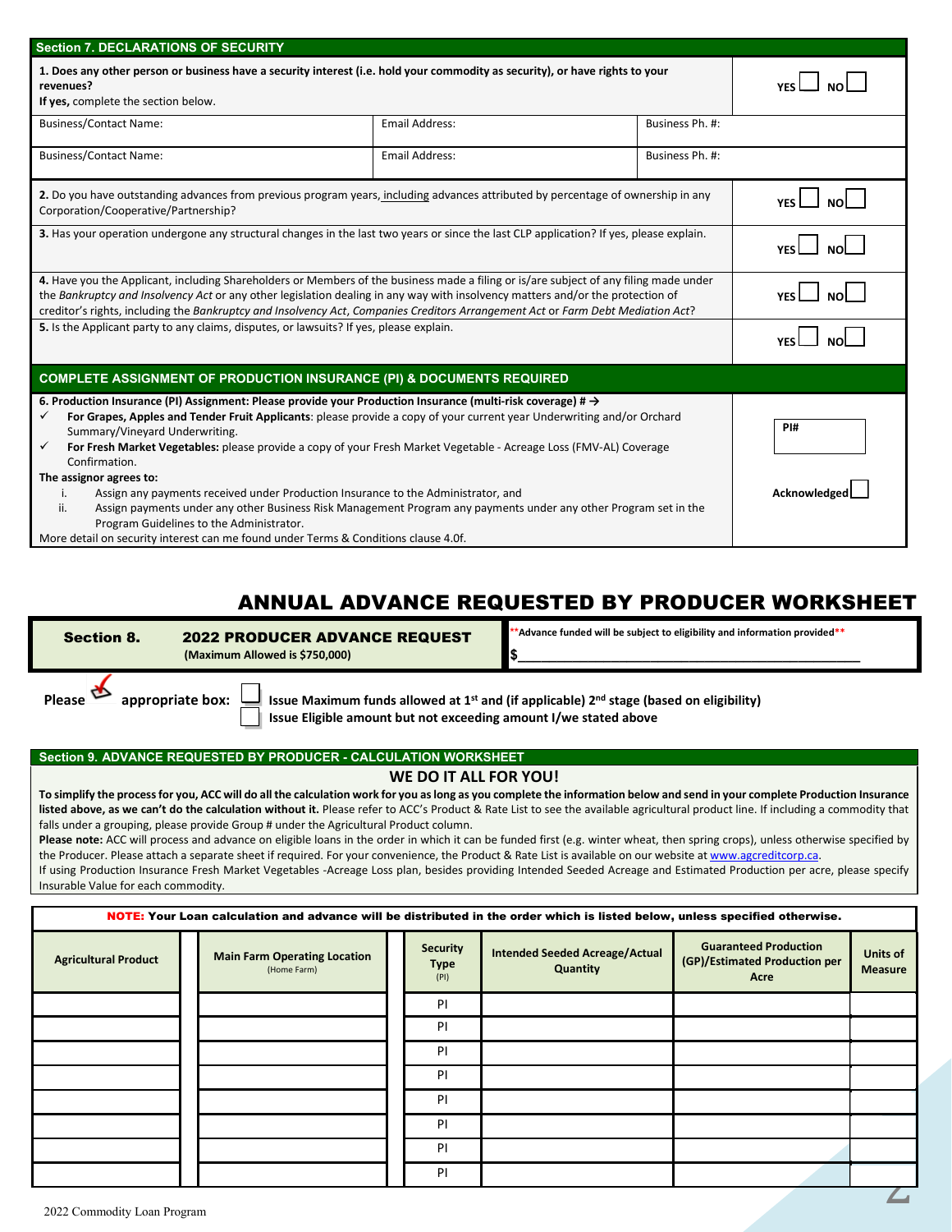| <b>Section 7. DECLARATIONS OF SECURITY</b>                                                                                                                                                                                                                                                                                                                                                                                                                                                                                                                                                                                                                                                                                                                                                                               |                       |                 |                    |
|--------------------------------------------------------------------------------------------------------------------------------------------------------------------------------------------------------------------------------------------------------------------------------------------------------------------------------------------------------------------------------------------------------------------------------------------------------------------------------------------------------------------------------------------------------------------------------------------------------------------------------------------------------------------------------------------------------------------------------------------------------------------------------------------------------------------------|-----------------------|-----------------|--------------------|
| 1. Does any other person or business have a security interest (i.e. hold your commodity as security), or have rights to your<br>revenues?<br>If yes, complete the section below.                                                                                                                                                                                                                                                                                                                                                                                                                                                                                                                                                                                                                                         |                       |                 |                    |
| <b>Business/Contact Name:</b>                                                                                                                                                                                                                                                                                                                                                                                                                                                                                                                                                                                                                                                                                                                                                                                            |                       |                 |                    |
| <b>Business/Contact Name:</b>                                                                                                                                                                                                                                                                                                                                                                                                                                                                                                                                                                                                                                                                                                                                                                                            | <b>Email Address:</b> | Business Ph. #: |                    |
| 2. Do you have outstanding advances from previous program years, including advances attributed by percentage of ownership in any<br>Corporation/Cooperative/Partnership?                                                                                                                                                                                                                                                                                                                                                                                                                                                                                                                                                                                                                                                 |                       |                 |                    |
| 3. Has your operation undergone any structural changes in the last two years or since the last CLP application? If yes, please explain.                                                                                                                                                                                                                                                                                                                                                                                                                                                                                                                                                                                                                                                                                  |                       |                 | <b>YFS</b>         |
| 4. Have you the Applicant, including Shareholders or Members of the business made a filing or is/are subject of any filing made under<br>the Bankruptcy and Insolvency Act or any other legislation dealing in any way with insolvency matters and/or the protection of<br>creditor's rights, including the Bankruptcy and Insolvency Act, Companies Creditors Arrangement Act or Farm Debt Mediation Act?                                                                                                                                                                                                                                                                                                                                                                                                               |                       |                 |                    |
| 5. Is the Applicant party to any claims, disputes, or lawsuits? If yes, please explain.                                                                                                                                                                                                                                                                                                                                                                                                                                                                                                                                                                                                                                                                                                                                  | <b>YFS</b>            |                 |                    |
| <b>COMPLETE ASSIGNMENT OF PRODUCTION INSURANCE (PI) &amp; DOCUMENTS REQUIRED</b>                                                                                                                                                                                                                                                                                                                                                                                                                                                                                                                                                                                                                                                                                                                                         |                       |                 |                    |
| 6. Production Insurance (PI) Assignment: Please provide your Production Insurance (multi-risk coverage) # $\rightarrow$<br>For Grapes, Apples and Tender Fruit Applicants: please provide a copy of your current year Underwriting and/or Orchard<br>✓<br>Summary/Vineyard Underwriting.<br>For Fresh Market Vegetables: please provide a copy of your Fresh Market Vegetable - Acreage Loss (FMV-AL) Coverage<br>✓<br>Confirmation.<br>The assignor agrees to:<br>Assign any payments received under Production Insurance to the Administrator, and<br>i.<br>Assign payments under any other Business Risk Management Program any payments under any other Program set in the<br>ii.<br>Program Guidelines to the Administrator.<br>More detail on security interest can me found under Terms & Conditions clause 4.0f. |                       |                 | PI#<br>Acknowledge |

## ANNUAL ADVANCE REQUESTED BY PRODUCER WORKSHEET

| <b>Section 8.</b> | <b>2022 PRODUCER ADVANCE REQUEST</b><br>(Maximum Allowed is \$750,000)               | *Advance funded will be subject to eligibility and information provided**                                       |
|-------------------|--------------------------------------------------------------------------------------|-----------------------------------------------------------------------------------------------------------------|
| <b>Please</b>     | appropriate box:<br>Issue Eligible amount but not exceeding amount I/we stated above | Issue Maximum funds allowed at 1 <sup>st</sup> and (if applicable) 2 <sup>nd</sup> stage (based on eligibility) |

#### **Section 9. ADVANCE REQUESTED BY PRODUCER - CALCULATION WORKSHEET**

#### **WE DO IT ALL FOR YOU!**

**To simplify the process for you, ACC will do all the calculation work for you as long as you complete the information below and send in your complete Production Insurance** listed above, as we can't do the calculation without it. Please refer to ACC's Product & Rate List to see the available agricultural product line. If including a commodity that falls under a grouping, please provide Group # under the Agricultural Product column.

Please note: ACC will process and advance on eligible loans in the order in which it can be funded first (e.g. winter wheat, then spring crops), unless otherwise specified by the Producer. Please attach a separate sheet if required. For your convenience, the Product & Rate List is available on our website at www.agcreditcorp.ca. If using Production Insurance Fresh Market Vegetables -Acreage Loss plan, besides providing Intended Seeded Acreage and Estimated Production per acre, please specify Insurable Value for each commodity.

| NOTE: Your Loan calculation and advance will be distributed in the order which is listed below, unless specified otherwise. |  |                                                    |  |                                        |                                            |                                                                       |                            |  |
|-----------------------------------------------------------------------------------------------------------------------------|--|----------------------------------------------------|--|----------------------------------------|--------------------------------------------|-----------------------------------------------------------------------|----------------------------|--|
| <b>Agricultural Product</b>                                                                                                 |  | <b>Main Farm Operating Location</b><br>(Home Farm) |  | <b>Security</b><br><b>Type</b><br>(PI) | Intended Seeded Acreage/Actual<br>Quantity | <b>Guaranteed Production</b><br>(GP)/Estimated Production per<br>Acre | Units of<br><b>Measure</b> |  |
|                                                                                                                             |  |                                                    |  | <b>PI</b>                              |                                            |                                                                       |                            |  |
|                                                                                                                             |  |                                                    |  | <b>PI</b>                              |                                            |                                                                       |                            |  |
|                                                                                                                             |  |                                                    |  | <b>PI</b>                              |                                            |                                                                       |                            |  |
|                                                                                                                             |  |                                                    |  | <b>PI</b>                              |                                            |                                                                       |                            |  |
|                                                                                                                             |  |                                                    |  | <b>PI</b>                              |                                            |                                                                       |                            |  |
|                                                                                                                             |  |                                                    |  | <b>PI</b>                              |                                            |                                                                       |                            |  |
|                                                                                                                             |  |                                                    |  | <b>PI</b>                              |                                            |                                                                       |                            |  |
|                                                                                                                             |  |                                                    |  | <b>PI</b>                              |                                            |                                                                       |                            |  |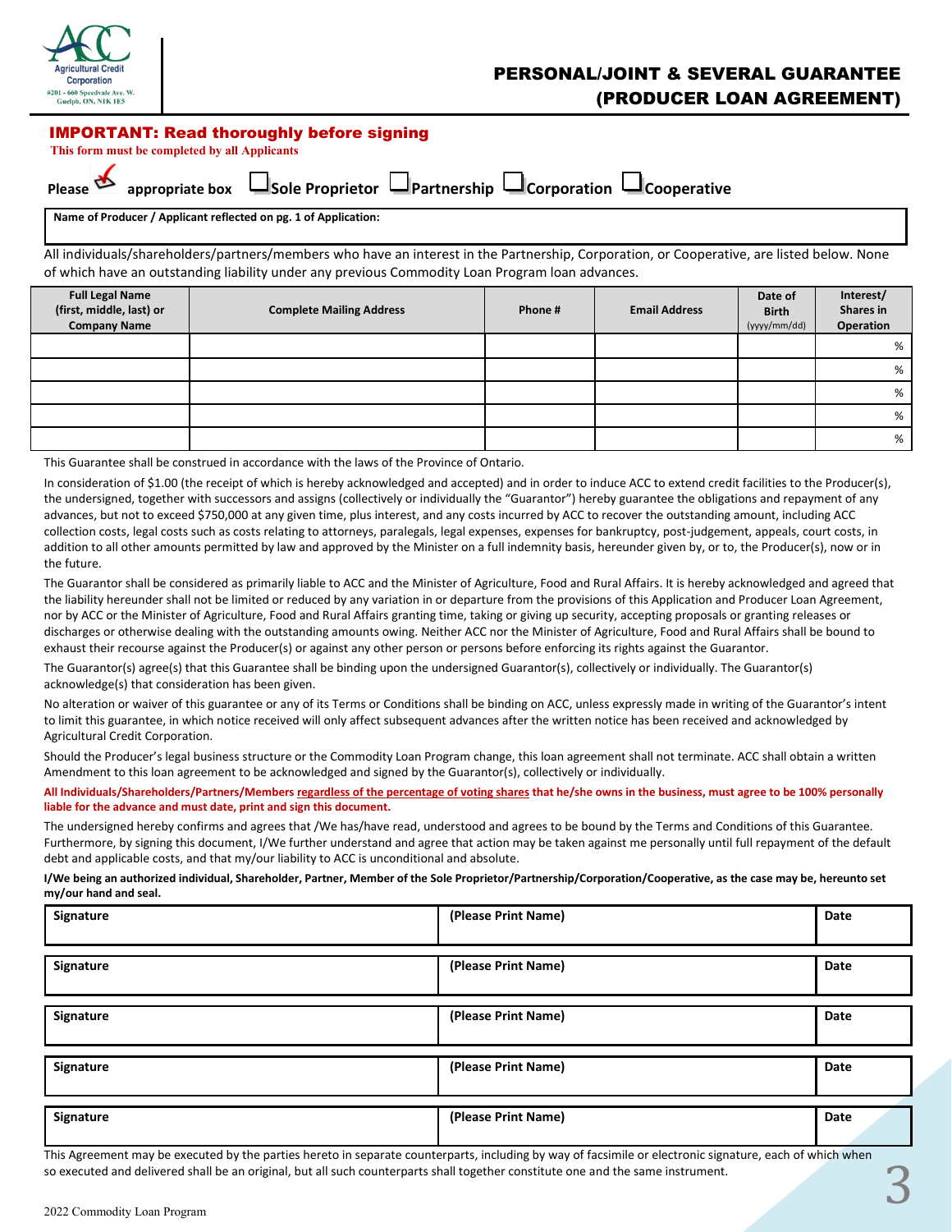

## PERSONAL/JOINT & SEVERAL GUARANTEE (PRODUCER LOAN AGREEMENT)

#### IMPORTANT: Read thoroughly before signing

 **This form must be completed by all Applicants**

| Diease |  |
|--------|--|

**Appropriate box Cooperative** Sole Proprietor **C** Partnership Corporation Cooperative

**Name of Producer / Applicant reflected on pg. 1 of Application:**

All individuals/shareholders/partners/members who have an interest in the Partnership, Corporation, or Cooperative, are listed below. None of which have an outstanding liability under any previous Commodity Loan Program loan advances.

| <b>Full Legal Name</b><br>(first, middle, last) or<br><b>Company Name</b> | <b>Complete Mailing Address</b> | Phone # | <b>Email Address</b> | Date of<br><b>Birth</b><br>(yyyy/mm/dd) | Interest/<br>Shares in<br>Operation |
|---------------------------------------------------------------------------|---------------------------------|---------|----------------------|-----------------------------------------|-------------------------------------|
|                                                                           |                                 |         |                      |                                         | %                                   |
|                                                                           |                                 |         |                      |                                         | %                                   |
|                                                                           |                                 |         |                      |                                         | %                                   |
|                                                                           |                                 |         |                      |                                         | %                                   |
|                                                                           |                                 |         |                      |                                         | %                                   |

This Guarantee shall be construed in accordance with the laws of the Province of Ontario.

In consideration of \$1.00 (the receipt of which is hereby acknowledged and accepted) and in order to induce ACC to extend credit facilities to the Producer(s), the undersigned, together with successors and assigns (collectively or individually the "Guarantor") hereby guarantee the obligations and repayment of any advances, but not to exceed \$750,000 at any given time, plus interest, and any costs incurred by ACC to recover the outstanding amount, including ACC collection costs, legal costs such as costs relating to attorneys, paralegals, legal expenses, expenses for bankruptcy, post-judgement, appeals, court costs, in addition to all other amounts permitted by law and approved by the Minister on a full indemnity basis, hereunder given by, or to, the Producer(s), now or in the future.

The Guarantor shall be considered as primarily liable to ACC and the Minister of Agriculture, Food and Rural Affairs. It is hereby acknowledged and agreed that the liability hereunder shall not be limited or reduced by any variation in or departure from the provisions of this Application and Producer Loan Agreement, nor by ACC or the Minister of Agriculture, Food and Rural Affairs granting time, taking or giving up security, accepting proposals or granting releases or discharges or otherwise dealing with the outstanding amounts owing. Neither ACC nor the Minister of Agriculture, Food and Rural Affairs shall be bound to exhaust their recourse against the Producer(s) or against any other person or persons before enforcing its rights against the Guarantor.

The Guarantor(s) agree(s) that this Guarantee shall be binding upon the undersigned Guarantor(s), collectively or individually. The Guarantor(s) acknowledge(s) that consideration has been given.

No alteration or waiver of this guarantee or any of its Terms or Conditions shall be binding on ACC, unless expressly made in writing of the Guarantor's intent to limit this guarantee, in which notice received will only affect subsequent advances after the written notice has been received and acknowledged by Agricultural Credit Corporation.

Should the Producer's legal business structure or the Commodity Loan Program change, this loan agreement shall not terminate. ACC shall obtain a written Amendment to this loan agreement to be acknowledged and signed by the Guarantor(s), collectively or individually.

**All Individuals/Shareholders/Partners/Members regardless of the percentage of voting shares that he/she owns in the business, must agree to be 100% personally liable for the advance and must date, print and sign this document.** 

The undersigned hereby confirms and agrees that /We has/have read, understood and agrees to be bound by the Terms and Conditions of this Guarantee. Furthermore, by signing this document, I/We further understand and agree that action may be taken against me personally until full repayment of the default debt and applicable costs, and that my/our liability to ACC is unconditional and absolute.

**I/We being an authorized individual, Shareholder, Partner, Member of the Sole Proprietor/Partnership/Corporation/Cooperative, as the case may be, hereunto set my/our hand and seal.**

| Signature | (Please Print Name) | Date |
|-----------|---------------------|------|
| Signature | (Please Print Name) | Date |
| Signature | (Please Print Name) | Date |
| Signature | (Please Print Name) | Date |
| Signature | (Please Print Name) | Date |

This Agreement may be executed by the parties hereto in separate counterparts, including by way of facsimile or electronic signature, each of which when so executed and delivered shall be an original, but all such counterparts shall together constitute one and the same instrument.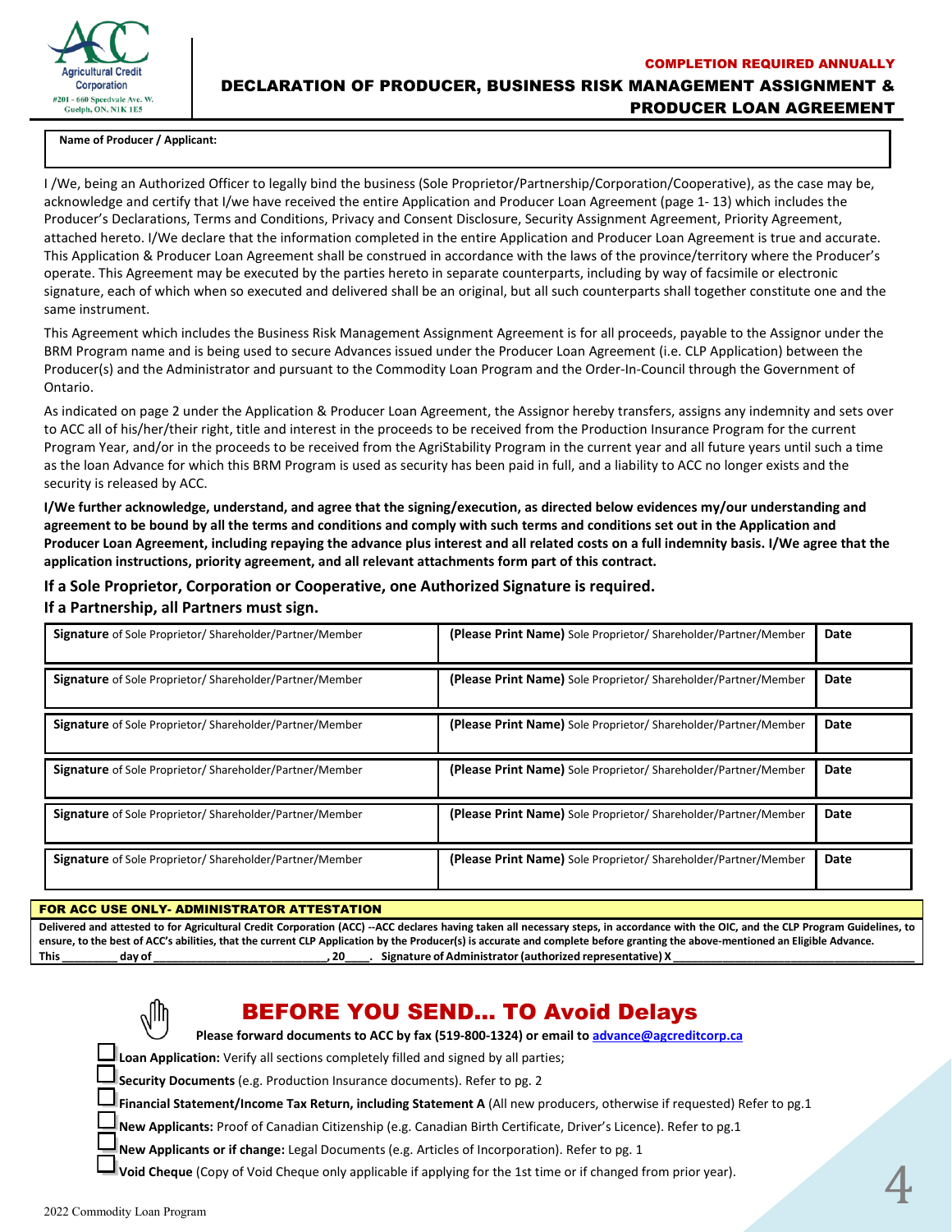

COMPLETION REQUIRED ANNUALLY DECLARATION OF PRODUCER, BUSINESS RISK MANAGEMENT ASSIGNMENT & PRODUCER LOAN AGREEMENT

#### **Name of Producer / Applicant:**

I /We, being an Authorized Officer to legally bind the business (Sole Proprietor/Partnership/Corporation/Cooperative), as the case may be, acknowledge and certify that I/we have received the entire Application and Producer Loan Agreement (page 1- 13) which includes the Producer's Declarations, Terms and Conditions, Privacy and Consent Disclosure, Security Assignment Agreement, Priority Agreement, attached hereto. I/We declare that the information completed in the entire Application and Producer Loan Agreement is true and accurate. This Application & Producer Loan Agreement shall be construed in accordance with the laws of the province/territory where the Producer's operate. This Agreement may be executed by the parties hereto in separate counterparts, including by way of facsimile or electronic signature, each of which when so executed and delivered shall be an original, but all such counterparts shall together constitute one and the same instrument.

This Agreement which includes the Business Risk Management Assignment Agreement is for all proceeds, payable to the Assignor under the BRM Program name and is being used to secure Advances issued under the Producer Loan Agreement (i.e. CLP Application) between the Producer(s) and the Administrator and pursuant to the Commodity Loan Program and the Order-In-Council through the Government of Ontario.

As indicated on page 2 under the Application & Producer Loan Agreement, the Assignor hereby transfers, assigns any indemnity and sets over to ACC all of his/her/their right, title and interest in the proceeds to be received from the Production Insurance Program for the current Program Year, and/or in the proceeds to be received from the AgriStability Program in the current year and all future years until such a time as the loan Advance for which this BRM Program is used as security has been paid in full, and a liability to ACC no longer exists and the security is released by ACC.

**I/We further acknowledge, understand, and agree that the signing/execution, as directed below evidences my/our understanding and agreement to be bound by all the terms and conditions and comply with such terms and conditions set out in the Application and Producer Loan Agreement, including repaying the advance plus interest and all related costs on a full indemnity basis. I/We agree that the application instructions, priority agreement, and all relevant attachments form part of this contract.** 

### **If a Sole Proprietor, Corporation or Cooperative, one Authorized Signature is required.**

#### **If a Partnership, all Partners must sign.**

| Signature of Sole Proprietor/ Shareholder/Partner/Member       | (Please Print Name) Sole Proprietor/ Shareholder/Partner/Member | Date |
|----------------------------------------------------------------|-----------------------------------------------------------------|------|
| Signature of Sole Proprietor/ Shareholder/Partner/Member       | (Please Print Name) Sole Proprietor/Shareholder/Partner/Member  | Date |
| <b>Signature</b> of Sole Proprietor/Shareholder/Partner/Member | (Please Print Name) Sole Proprietor/Shareholder/Partner/Member  | Date |
| Signature of Sole Proprietor/Shareholder/Partner/Member        | (Please Print Name) Sole Proprietor/ Shareholder/Partner/Member | Date |
| Signature of Sole Proprietor/ Shareholder/Partner/Member       | (Please Print Name) Sole Proprietor/ Shareholder/Partner/Member | Date |
| <b>Signature</b> of Sole Proprietor/Shareholder/Partner/Member | (Please Print Name) Sole Proprietor/ Shareholder/Partner/Member | Date |

#### FOR ACC USE ONLY- ADMINISTRATOR ATTESTATION

**Delivered and attested to for Agricultural Credit Corporation (ACC) --ACC declares having taken all necessary steps, in accordance with the OIC, and the CLP Program Guidelines, to ensure, to the best of ACC's abilities, that the current CLP Application by the Producer(s) is accurate and complete before granting the above-mentioned an Eligible Advance. This \_\_\_\_\_\_\_\_\_ day of \_\_\_\_\_\_\_\_\_\_\_\_\_\_\_\_\_\_\_\_\_\_\_\_\_\_\_\_, 20\_\_\_\_. Signature of Administrator (authorized representative) X \_\_\_\_\_\_\_\_\_\_\_\_\_\_\_\_\_\_\_\_\_\_\_\_\_\_\_\_\_\_\_\_\_\_\_\_\_\_\_** 

# BEFORE YOU SEND… TO Avoid Delays

**Please forward documents to ACC by fax (519-800-1324) or email to advance@agcreditcorp.ca**

**Loan Application:** Verify all sections completely filled and signed by all parties;

**Security Documents** (e.g. Production Insurance documents). Refer to pg. 2

**Financial Statement/Income Tax Return, including Statement A** (All new producers, otherwise if requested) Refer to pg.1

4

**New Applicants:** Proof of Canadian Citizenship (e.g. Canadian Birth Certificate, Driver's Licence). Refer to pg.1

**New Applicants or if change:** Legal Documents (e.g. Articles of Incorporation). Refer to pg. 1

**Void Cheque** (Copy of Void Cheque only applicable if applying for the 1st time or if changed from prior year).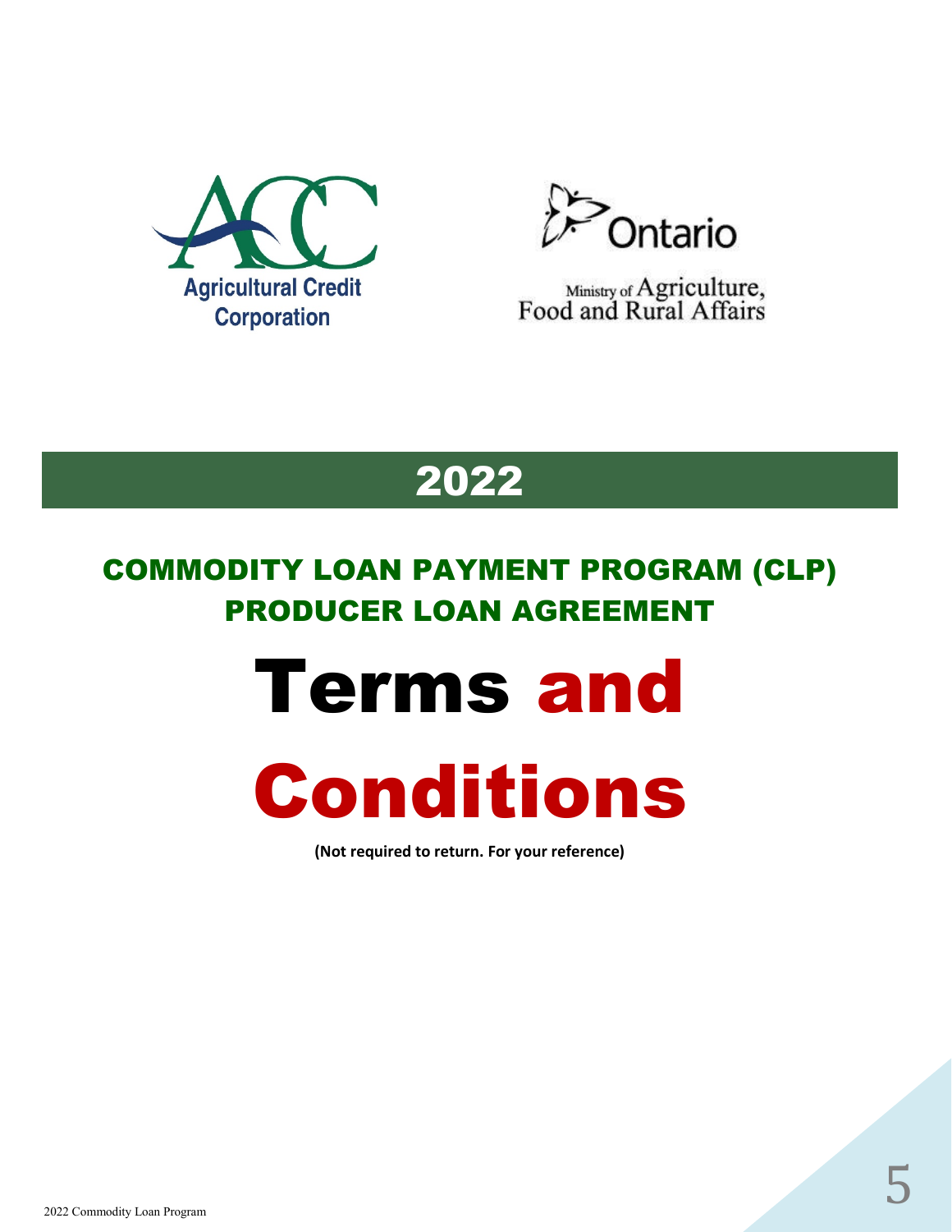



Ministry of Agriculture,<br>Food and Rural Affairs

# 2022

# COMMODITY LOAN PAYMENT PROGRAM (CLP) PRODUCER LOAN AGREEMENT

# Terms and



**(Not required to return. For your reference)**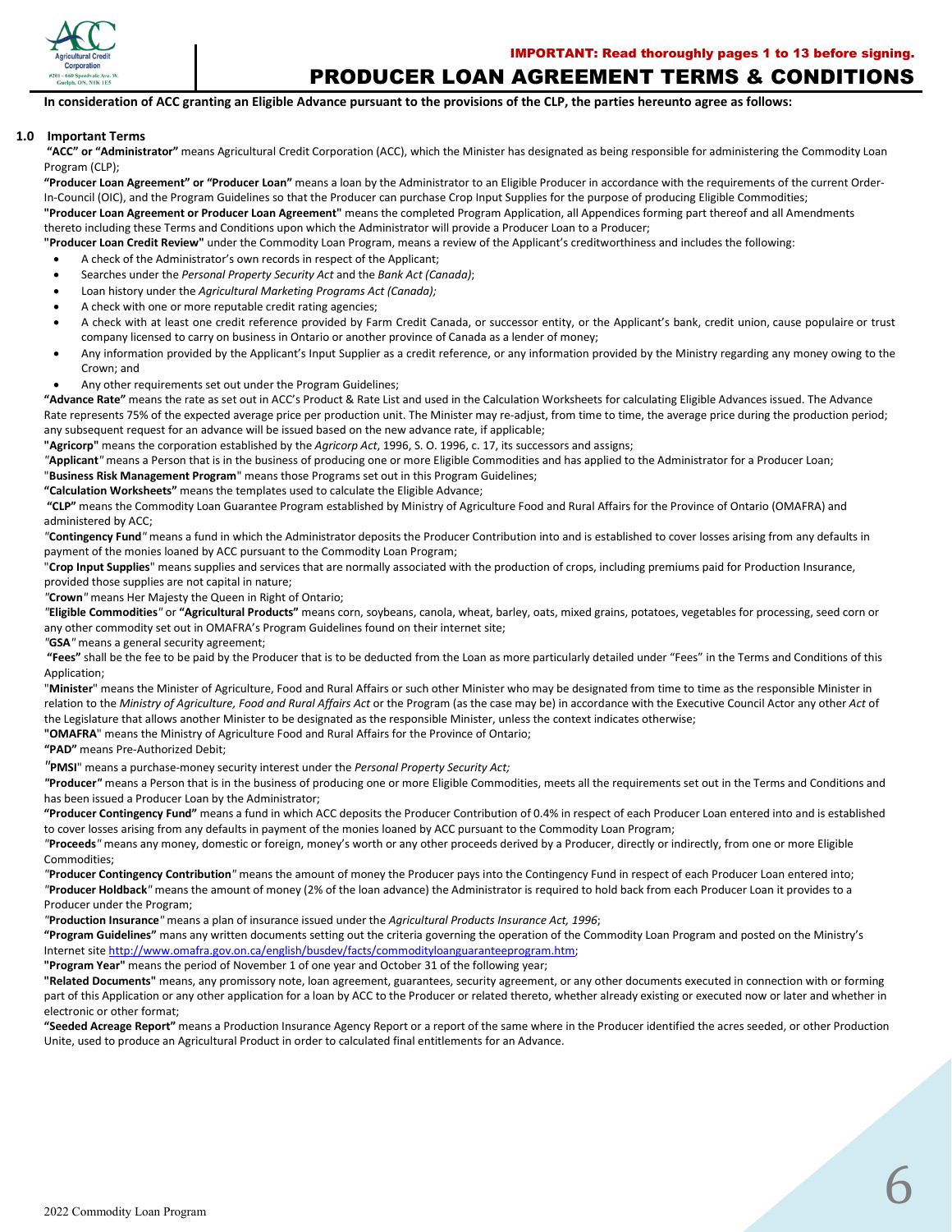

#### PRODUCER LOAN AGREEMENT TERMS & CONDITIONS

**In consideration of ACC granting an Eligible Advance pursuant to the provisions of the CLP, the parties hereunto agree as follows:**

#### **1.0 Important Terms**

**"ACC" or "Administrator"** means Agricultural Credit Corporation (ACC), which the Minister has designated as being responsible for administering the Commodity Loan Program (CLP);

**"Producer Loan Agreement" or "Producer Loan"** means a loan by the Administrator to an Eligible Producer in accordance with the requirements of the current Order-In-Council (OIC), and the Program Guidelines so that the Producer can purchase Crop Input Supplies for the purpose of producing Eligible Commodities;

**"Producer Loan Agreement or Producer Loan Agreement"** means the completed Program Application, all Appendices forming part thereof and all Amendments thereto including these Terms and Conditions upon which the Administrator will provide a Producer Loan to a Producer;

**"Producer Loan Credit Review"** under the Commodity Loan Program, means a review of the Applicant's creditworthiness and includes the following:

- A check of the Administrator's own records in respect of the Applicant;
- Searches under the *Personal Property Security Act* and the *Bank Act (Canada)*;
- Loan history under the *Agricultural Marketing Programs Act (Canada);*
- A check with one or more reputable credit rating agencies;
- A check with at least one credit reference provided by Farm Credit Canada, or successor entity, or the Applicant's bank, credit union, cause populaire or trust company licensed to carry on business in Ontario or another province of Canada as a lender of money;
- Any information provided by the Applicant's Input Supplier as a credit reference, or any information provided by the Ministry regarding any money owing to the Crown; and
- Any other requirements set out under the Program Guidelines;

**"Advance Rate"** means the rate as set out in ACC's Product & Rate List and used in the Calculation Worksheets for calculating Eligible Advances issued. The Advance Rate represents 75% of the expected average price per production unit. The Minister may re-adjust, from time to time, the average price during the production period; any subsequent request for an advance will be issued based on the new advance rate, if applicable;

**"Agricorp"** means the corporation established by the *Agricorp Act*, 1996, S. O. 1996, c. 17, its successors and assigns;

*"***Applicant***"* means a Person that is in the business of producing one or more Eligible Commodities and has applied to the Administrator for a Producer Loan;

"**Business Risk Management Program**" means those Programs set out in this Program Guidelines;

**"Calculation Worksheets"** means the templates used to calculate the Eligible Advance;

**"CLP"** means the Commodity Loan Guarantee Program established by Ministry of Agriculture Food and Rural Affairs for the Province of Ontario (OMAFRA) and administered by ACC;

*"***Contingency Fund***"* means a fund in which the Administrator deposits the Producer Contribution into and is established to cover losses arising from any defaults in payment of the monies loaned by ACC pursuant to the Commodity Loan Program;

"**Crop Input Supplies**" means supplies and services that are normally associated with the production of crops, including premiums paid for Production Insurance, provided those supplies are not capital in nature;

*"***Crown***"* means Her Majesty the Queen in Right of Ontario;

*"***Eligible Commodities***"* or **"Agricultural Products"** means corn, soybeans, canola, wheat, barley, oats, mixed grains, potatoes, vegetables for processing, seed corn or any other commodity set out in OMAFRA's Program Guidelines found on their internet site;

*"***GSA***"* means a general security agreement;

**"Fees"** shall be the fee to be paid by the Producer that is to be deducted from the Loan as more particularly detailed under "Fees" in the Terms and Conditions of this Application;

"**Minister**" means the Minister of Agriculture, Food and Rural Affairs or such other Minister who may be designated from time to time as the responsible Minister in relation to the *Ministry of Agriculture, Food and Rural Affairs Act* or the Program (as the case may be) in accordance with the Executive Council Actor any other *Act* of the Legislature that allows another Minister to be designated as the responsible Minister, unless the context indicates otherwise;

**"OMAFRA**" means the Ministry of Agriculture Food and Rural Affairs for the Province of Ontario;

**"PAD"** means Pre-Authorized Debit;

*"***PMSI**" means a purchase-money security interest under the *Personal Property Security Act;*

*"***Producer***"* means a Person that is in the business of producing one or more Eligible Commodities, meets all the requirements set out in the Terms and Conditions and has been issued a Producer Loan by the Administrator;

**"Producer Contingency Fund"** means a fund in which ACC deposits the Producer Contribution of 0.4% in respect of each Producer Loan entered into and is established to cover losses arising from any defaults in payment of the monies loaned by ACC pursuant to the Commodity Loan Program;

*"***Proceeds***"* means any money, domestic or foreign, money's worth or any other proceeds derived by a Producer, directly or indirectly, from one or more Eligible Commodities;

*"***Producer Contingency Contribution***"* means the amount of money the Producer pays into the Contingency Fund in respect of each Producer Loan entered into; *"***Producer Holdback***"* means the amount of money (2% of the loan advance) the Administrator is required to hold back from each Producer Loan it provides to a Producer under the Program;

*"***Production Insurance***"* means a plan of insurance issued under the *Agricultural Products Insurance Act, 1996*;

**"Program Guidelines"** mans any written documents setting out the criteria governing the operation of the Commodity Loan Program and posted on the Ministry's Internet site http://www.omafra.gov.on.ca/english/busdev/facts/commodityloanguaranteeprogram.htm;

**"Program Year"** means the period of November 1 of one year and October 31 of the following year;

**"Related Documents"** means, any promissory note, loan agreement, guarantees, security agreement, or any other documents executed in connection with or forming part of this Application or any other application for a loan by ACC to the Producer or related thereto, whether already existing or executed now or later and whether in electronic or other format;

**"Seeded Acreage Report"** means a Production Insurance Agency Report or a report of the same where in the Producer identified the acres seeded, or other Production Unite, used to produce an Agricultural Product in order to calculated final entitlements for an Advance.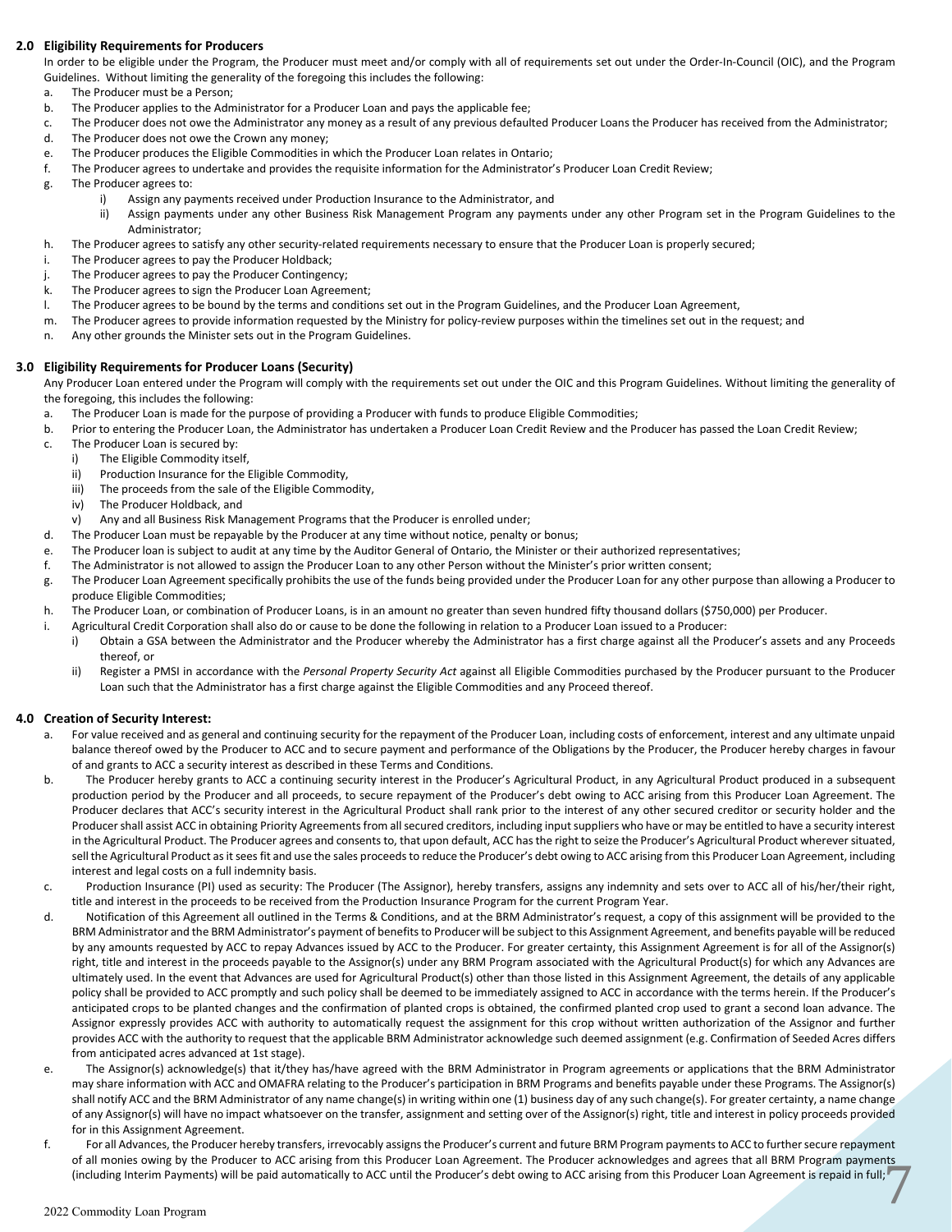#### **2.0 Eligibility Requirements for Producers**

In order to be eligible under the Program, the Producer must meet and/or comply with all of requirements set out under the Order-In-Council (OIC), and the Program Guidelines. Without limiting the generality of the foregoing this includes the following:

- a. The Producer must be a Person;
- b. The Producer applies to the Administrator for a Producer Loan and pays the applicable fee;
- c. The Producer does not owe the Administrator any money as a result of any previous defaulted Producer Loans the Producer has received from the Administrator;
- d. The Producer does not owe the Crown any money;
- e. The Producer produces the Eligible Commodities in which the Producer Loan relates in Ontario;
- f. The Producer agrees to undertake and provides the requisite information for the Administrator's Producer Loan Credit Review;
- g. The Producer agrees to:
	- i) Assign any payments received under Production Insurance to the Administrator, and
		- ii) Assign payments under any other Business Risk Management Program any payments under any other Program set in the Program Guidelines to the Administrator;
- h. The Producer agrees to satisfy any other security-related requirements necessary to ensure that the Producer Loan is properly secured;
- i. The Producer agrees to pay the Producer Holdback;
- j. The Producer agrees to pay the Producer Contingency;
- k. The Producer agrees to sign the Producer Loan Agreement;
- l. The Producer agrees to be bound by the terms and conditions set out in the Program Guidelines, and the Producer Loan Agreement,
- m. The Producer agrees to provide information requested by the Ministry for policy-review purposes within the timelines set out in the request; and
- n. Any other grounds the Minister sets out in the Program Guidelines.

#### **3.0 Eligibility Requirements for Producer Loans (Security)**

Any Producer Loan entered under the Program will comply with the requirements set out under the OIC and this Program Guidelines. Without limiting the generality of the foregoing, this includes the following:

- a. The Producer Loan is made for the purpose of providing a Producer with funds to produce Eligible Commodities;
- b. Prior to entering the Producer Loan, the Administrator has undertaken a Producer Loan Credit Review and the Producer has passed the Loan Credit Review;
- c. The Producer Loan is secured by:
	- i) The Eligible Commodity itself,
	- ii) Production Insurance for the Eligible Commodity,
	- iii) The proceeds from the sale of the Eligible Commodity,
	- iv) The Producer Holdback, and
	- v) Any and all Business Risk Management Programs that the Producer is enrolled under;
- d. The Producer Loan must be repayable by the Producer at any time without notice, penalty or bonus;
- e. The Producer loan is subject to audit at any time by the Auditor General of Ontario, the Minister or their authorized representatives;
- f. The Administrator is not allowed to assign the Producer Loan to any other Person without the Minister's prior written consent;
- g. The Producer Loan Agreement specifically prohibits the use of the funds being provided under the Producer Loan for any other purpose than allowing a Producer to produce Eligible Commodities;
- h. The Producer Loan, or combination of Producer Loans, is in an amount no greater than seven hundred fifty thousand dollars (\$750,000) per Producer.
- i. Agricultural Credit Corporation shall also do or cause to be done the following in relation to a Producer Loan issued to a Producer:
	- i) Obtain a GSA between the Administrator and the Producer whereby the Administrator has a first charge against all the Producer's assets and any Proceeds thereof, or
	- ii) Register a PMSI in accordance with the *Personal Property Security Act* against all Eligible Commodities purchased by the Producer pursuant to the Producer Loan such that the Administrator has a first charge against the Eligible Commodities and any Proceed thereof.

#### **4.0 Creation of Security Interest:**

- For value received and as general and continuing security for the repayment of the Producer Loan, including costs of enforcement, interest and any ultimate unpaid balance thereof owed by the Producer to ACC and to secure payment and performance of the Obligations by the Producer, the Producer hereby charges in favour of and grants to ACC a security interest as described in these Terms and Conditions.
- b. The Producer hereby grants to ACC a continuing security interest in the Producer's Agricultural Product, in any Agricultural Product produced in a subsequent production period by the Producer and all proceeds, to secure repayment of the Producer's debt owing to ACC arising from this Producer Loan Agreement. The Producer declares that ACC's security interest in the Agricultural Product shall rank prior to the interest of any other secured creditor or security holder and the Producer shall assist ACC in obtaining Priority Agreements from all secured creditors, including input suppliers who have or may be entitled to have a security interest in the Agricultural Product. The Producer agrees and consents to, that upon default, ACC has the right to seize the Producer's Agricultural Product wherever situated, sell the Agricultural Product as it sees fit and use the sales proceeds to reduce the Producer's debt owing to ACC arising from this Producer Loan Agreement, including interest and legal costs on a full indemnity basis.
- c. Production Insurance (PI) used as security: The Producer (The Assignor), hereby transfers, assigns any indemnity and sets over to ACC all of his/her/their right, title and interest in the proceeds to be received from the Production Insurance Program for the current Program Year.
- d. Notification of this Agreement all outlined in the Terms & Conditions, and at the BRM Administrator's request, a copy of this assignment will be provided to the BRM Administrator and the BRM Administrator's payment of benefits to Producer will be subject to this Assignment Agreement, and benefits payable will be reduced by any amounts requested by ACC to repay Advances issued by ACC to the Producer. For greater certainty, this Assignment Agreement is for all of the Assignor(s) right, title and interest in the proceeds payable to the Assignor(s) under any BRM Program associated with the Agricultural Product(s) for which any Advances are ultimately used. In the event that Advances are used for Agricultural Product(s) other than those listed in this Assignment Agreement, the details of any applicable policy shall be provided to ACC promptly and such policy shall be deemed to be immediately assigned to ACC in accordance with the terms herein. If the Producer's anticipated crops to be planted changes and the confirmation of planted crops is obtained, the confirmed planted crop used to grant a second loan advance. The Assignor expressly provides ACC with authority to automatically request the assignment for this crop without written authorization of the Assignor and further provides ACC with the authority to request that the applicable BRM Administrator acknowledge such deemed assignment (e.g. Confirmation of Seeded Acres differs from anticipated acres advanced at 1st stage).
- e. The Assignor(s) acknowledge(s) that it/they has/have agreed with the BRM Administrator in Program agreements or applications that the BRM Administrator may share information with ACC and OMAFRA relating to the Producer's participation in BRM Programs and benefits payable under these Programs. The Assignor(s) shall notify ACC and the BRM Administrator of any name change(s) in writing within one (1) business day of any such change(s). For greater certainty, a name change of any Assignor(s) will have no impact whatsoever on the transfer, assignment and setting over of the Assignor(s) right, title and interest in policy proceeds provided for in this Assignment Agreement.
- 7 f. For all Advances, the Producer hereby transfers, irrevocably assignsthe Producer's current and future BRM Program payments to ACC to further secure repayment of all monies owing by the Producer to ACC arising from this Producer Loan Agreement. The Producer acknowledges and agrees that all BRM Program payments (including Interim Payments) will be paid automatically to ACC until the Producer's debt owing to ACC arising from this Producer Loan Agreement is repaid in full;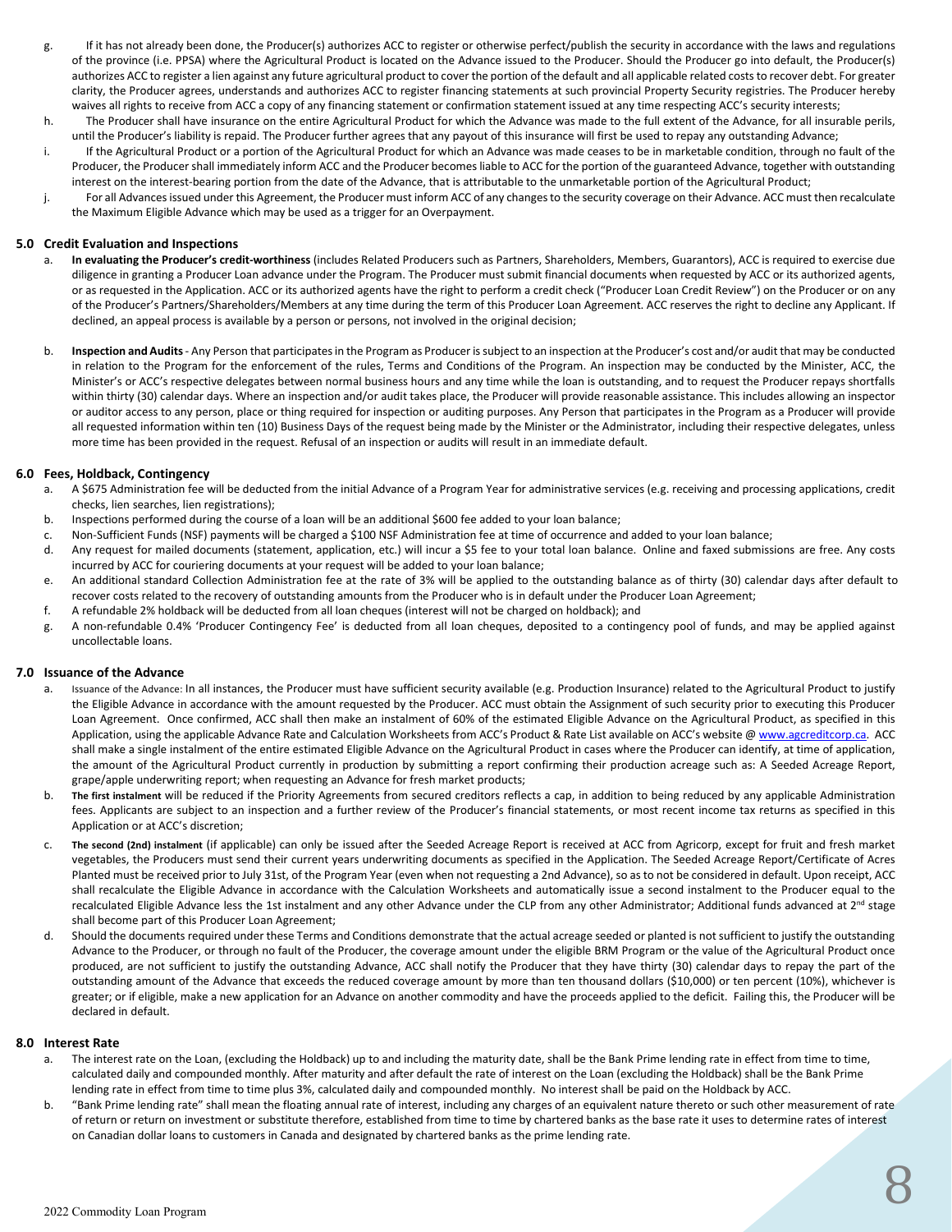- g. If it has not already been done, the Producer(s) authorizes ACC to register or otherwise perfect/publish the security in accordance with the laws and regulations of the province (i.e. PPSA) where the Agricultural Product is located on the Advance issued to the Producer. Should the Producer go into default, the Producer(s) authorizes ACC to register a lien against any future agricultural product to cover the portion of the default and all applicable related costs to recover debt. For greater clarity, the Producer agrees, understands and authorizes ACC to register financing statements at such provincial Property Security registries. The Producer hereby waives all rights to receive from ACC a copy of any financing statement or confirmation statement issued at any time respecting ACC's security interests;
- h. The Producer shall have insurance on the entire Agricultural Product for which the Advance was made to the full extent of the Advance, for all insurable perils, until the Producer's liability is repaid. The Producer further agrees that any payout of this insurance will first be used to repay any outstanding Advance;
- i. If the Agricultural Product or a portion of the Agricultural Product for which an Advance was made ceases to be in marketable condition, through no fault of the Producer, the Producer shall immediately inform ACC and the Producer becomes liable to ACC for the portion of the guaranteed Advance, together with outstanding interest on the interest-bearing portion from the date of the Advance, that is attributable to the unmarketable portion of the Agricultural Product;
- j. For all Advances issued under this Agreement, the Producer must inform ACC of any changes to the security coverage on their Advance. ACC must then recalculate the Maximum Eligible Advance which may be used as a trigger for an Overpayment.

#### **5.0 Credit Evaluation and Inspections**

- a. **In evaluating the Producer's credit-worthiness** (includes Related Producers such as Partners, Shareholders, Members, Guarantors), ACC is required to exercise due diligence in granting a Producer Loan advance under the Program. The Producer must submit financial documents when requested by ACC or its authorized agents, or as requested in the Application. ACC or its authorized agents have the right to perform a credit check ("Producer Loan Credit Review") on the Producer or on any of the Producer's Partners/Shareholders/Members at any time during the term of this Producer Loan Agreement. ACC reserves the right to decline any Applicant. If declined, an appeal process is available by a person or persons, not involved in the original decision;
- b. **Inspection and Audits** Any Person that participates in the Program as Producer is subject to an inspection at the Producer's cost and/or audit that may be conducted in relation to the Program for the enforcement of the rules, Terms and Conditions of the Program. An inspection may be conducted by the Minister, ACC, the Minister's or ACC's respective delegates between normal business hours and any time while the loan is outstanding, and to request the Producer repays shortfalls within thirty (30) calendar days. Where an inspection and/or audit takes place, the Producer will provide reasonable assistance. This includes allowing an inspector or auditor access to any person, place or thing required for inspection or auditing purposes. Any Person that participates in the Program as a Producer will provide all requested information within ten (10) Business Days of the request being made by the Minister or the Administrator, including their respective delegates, unless more time has been provided in the request. Refusal of an inspection or audits will result in an immediate default.

#### **6.0 Fees, Holdback, Contingency**

- a. A \$675 Administration fee will be deducted from the initial Advance of a Program Year for administrative services (e.g. receiving and processing applications, credit checks, lien searches, lien registrations);
- b. Inspections performed during the course of a loan will be an additional \$600 fee added to your loan balance;
- c. Non-Sufficient Funds (NSF) payments will be charged a \$100 NSF Administration fee at time of occurrence and added to your loan balance;
- d. Any request for mailed documents (statement, application, etc.) will incur a \$5 fee to your total loan balance. Online and faxed submissions are free. Any costs incurred by ACC for couriering documents at your request will be added to your loan balance;
- e. An additional standard Collection Administration fee at the rate of 3% will be applied to the outstanding balance as of thirty (30) calendar days after default to recover costs related to the recovery of outstanding amounts from the Producer who is in default under the Producer Loan Agreement;
- f. A refundable 2% holdback will be deducted from all loan cheques (interest will not be charged on holdback); and
- g. A non-refundable 0.4% 'Producer Contingency Fee' is deducted from all loan cheques, deposited to a contingency pool of funds, and may be applied against uncollectable loans.

#### **7.0 Issuance of the Advance**

- a. Issuance of the Advance: In all instances, the Producer must have sufficient security available (e.g. Production Insurance) related to the Agricultural Product to justify the Eligible Advance in accordance with the amount requested by the Producer. ACC must obtain the Assignment of such security prior to executing this Producer Loan Agreement. Once confirmed, ACC shall then make an instalment of 60% of the estimated Eligible Advance on the Agricultural Product, as specified in this Application, using the applicable Advance Rate and Calculation Worksheets from ACC's Product & Rate List available on ACC's website @ www.agcreditcorp.ca. ACC shall make a single instalment of the entire estimated Eligible Advance on the Agricultural Product in cases where the Producer can identify, at time of application, the amount of the Agricultural Product currently in production by submitting a report confirming their production acreage such as: A Seeded Acreage Report, grape/apple underwriting report; when requesting an Advance for fresh market products;
- b. **The first instalment** will be reduced if the Priority Agreements from secured creditors reflects a cap, in addition to being reduced by any applicable Administration fees. Applicants are subject to an inspection and a further review of the Producer's financial statements, or most recent income tax returns as specified in this Application or at ACC's discretion;
- c. **The second (2nd) instalment** (if applicable) can only be issued after the Seeded Acreage Report is received at ACC from Agricorp, except for fruit and fresh market vegetables, the Producers must send their current years underwriting documents as specified in the Application. The Seeded Acreage Report/Certificate of Acres Planted must be received prior to July 31st, of the Program Year (even when not requesting a 2nd Advance), so as to not be considered in default. Upon receipt, ACC shall recalculate the Eligible Advance in accordance with the Calculation Worksheets and automatically issue a second instalment to the Producer equal to the recalculated Eligible Advance less the 1st instalment and any other Advance under the CLP from any other Administrator; Additional funds advanced at 2<sup>nd</sup> stage shall become part of this Producer Loan Agreement;
- d. Should the documents required under these Terms and Conditions demonstrate that the actual acreage seeded or planted is not sufficient to justify the outstanding Advance to the Producer, or through no fault of the Producer, the coverage amount under the eligible BRM Program or the value of the Agricultural Product once produced, are not sufficient to justify the outstanding Advance, ACC shall notify the Producer that they have thirty (30) calendar days to repay the part of the outstanding amount of the Advance that exceeds the reduced coverage amount by more than ten thousand dollars (\$10,000) or ten percent (10%), whichever is greater; or if eligible, make a new application for an Advance on another commodity and have the proceeds applied to the deficit. Failing this, the Producer will be declared in default.

#### **8.0 Interest Rate**

- The interest rate on the Loan, (excluding the Holdback) up to and including the maturity date, shall be the Bank Prime lending rate in effect from time to time, calculated daily and compounded monthly. After maturity and after default the rate of interest on the Loan (excluding the Holdback) shall be the Bank Prime lending rate in effect from time to time plus 3%, calculated daily and compounded monthly. No interest shall be paid on the Holdback by ACC.
- b. "Bank Prime lending rate" shall mean the floating annual rate of interest, including any charges of an equivalent nature thereto or such other measurement of rate of return or return on investment or substitute therefore, established from time to time by chartered banks as the base rate it uses to determine rates of interest on Canadian dollar loans to customers in Canada and designated by chartered banks as the prime lending rate.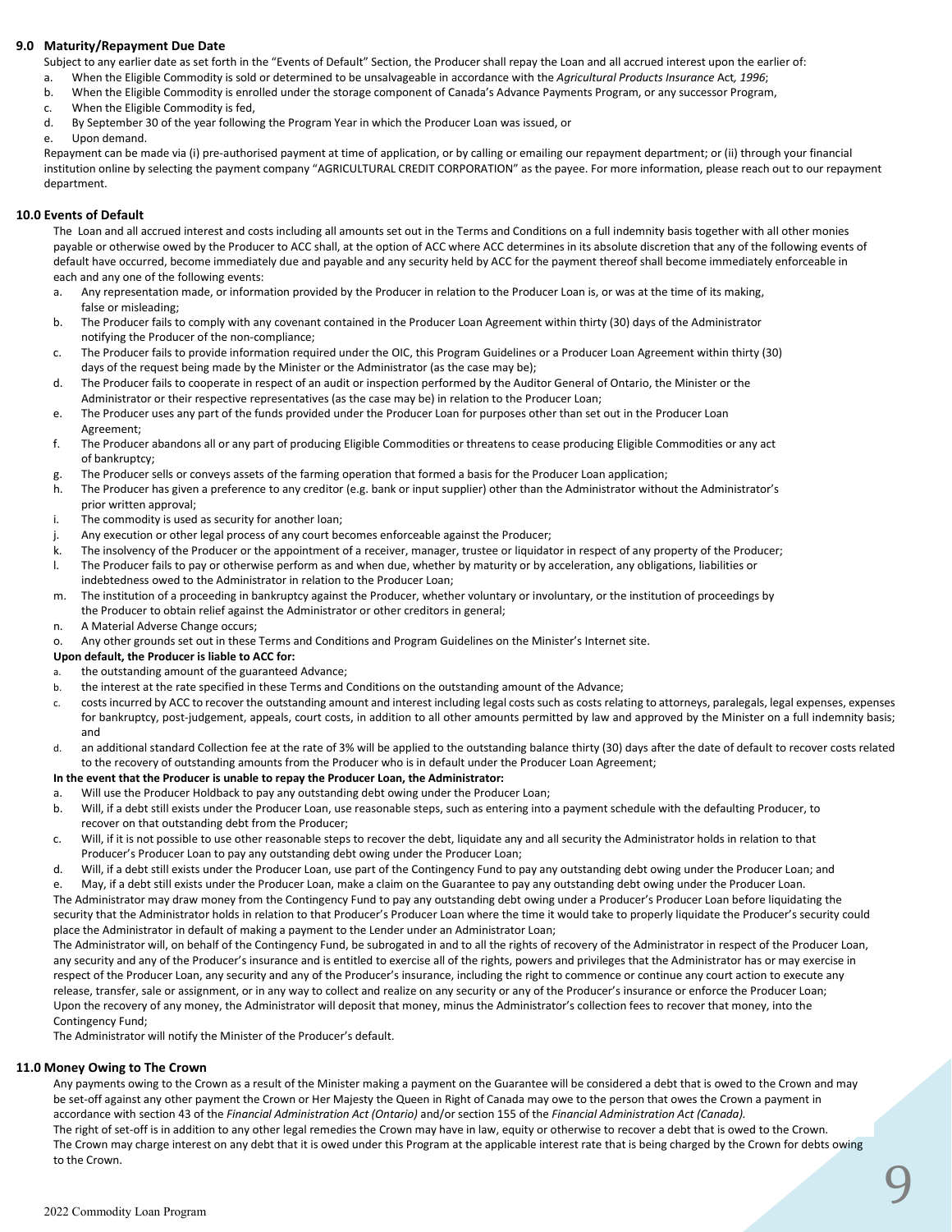#### **9.0 Maturity/Repayment Due Date**

Subject to any earlier date as set forth in the "Events of Default" Section, the Producer shall repay the Loan and all accrued interest upon the earlier of:

- a. When the Eligible Commodity is sold or determined to be unsalvageable in accordance with the *Agricultural Products Insurance* Act*, 1996*;
- b. When the Eligible Commodity is enrolled under the storage component of Canada's Advance Payments Program, or any successor Program,
- c. When the Eligible Commodity is fed,
- d. By September 30 of the year following the Program Year in which the Producer Loan was issued, or
- Upon demand.

Repayment can be made via (i) pre-authorised payment at time of application, or by calling or emailing our repayment department; or (ii) through your financial institution online by selecting the payment company "AGRICULTURAL CREDIT CORPORATION" as the payee. For more information, please reach out to our repayment department.

#### **10.0 Events of Default**

The Loan and all accrued interest and costs including all amounts set out in the Terms and Conditions on a full indemnity basis together with all other monies payable or otherwise owed by the Producer to ACC shall, at the option of ACC where ACC determines in its absolute discretion that any of the following events of default have occurred, become immediately due and payable and any security held by ACC for the payment thereof shall become immediately enforceable in each and any one of the following events:

- a. Any representation made, or information provided by the Producer in relation to the Producer Loan is, or was at the time of its making, false or misleading;
- b. The Producer fails to comply with any covenant contained in the Producer Loan Agreement within thirty (30) days of the Administrator notifying the Producer of the non-compliance;
- c. The Producer fails to provide information required under the OIC, this Program Guidelines or a Producer Loan Agreement within thirty (30) days of the request being made by the Minister or the Administrator (as the case may be);
- d. The Producer fails to cooperate in respect of an audit or inspection performed by the Auditor General of Ontario, the Minister or the Administrator or their respective representatives (as the case may be) in relation to the Producer Loan;
- e. The Producer uses any part of the funds provided under the Producer Loan for purposes other than set out in the Producer Loan Agreement;
- f. The Producer abandons all or any part of producing Eligible Commodities or threatens to cease producing Eligible Commodities or any act of bankruptcy;
- g. The Producer sells or conveys assets of the farming operation that formed a basis for the Producer Loan application;
- h. The Producer has given a preference to any creditor (e.g. bank or input supplier) other than the Administrator without the Administrator's prior written approval;
- i. The commodity is used as security for another loan;
- j. Any execution or other legal process of any court becomes enforceable against the Producer;
- k. The insolvency of the Producer or the appointment of a receiver, manager, trustee or liquidator in respect of any property of the Producer;
- l. The Producer fails to pay or otherwise perform as and when due, whether by maturity or by acceleration, any obligations, liabilities or indebtedness owed to the Administrator in relation to the Producer Loan;
- m. The institution of a proceeding in bankruptcy against the Producer, whether voluntary or involuntary, or the institution of proceedings by the Producer to obtain relief against the Administrator or other creditors in general;
- n. A Material Adverse Change occurs;
- o. Any other grounds set out in these Terms and Conditions and Program Guidelines on the Minister's Internet site.
- **Upon default, the Producer is liable to ACC for:**
- the outstanding amount of the guaranteed Advance;
- b. the interest at the rate specified in these Terms and Conditions on the outstanding amount of the Advance;
- c. costs incurred by ACC to recover the outstanding amount and interest including legal costs such as costs relating to attorneys, paralegals, legal expenses, expenses for bankruptcy, post-judgement, appeals, court costs, in addition to all other amounts permitted by law and approved by the Minister on a full indemnity basis; and
- d. an additional standard Collection fee at the rate of 3% will be applied to the outstanding balance thirty (30) days after the date of default to recover costs related to the recovery of outstanding amounts from the Producer who is in default under the Producer Loan Agreement;

#### **In the event that the Producer is unable to repay the Producer Loan, the Administrator:**

- a. Will use the Producer Holdback to pay any outstanding debt owing under the Producer Loan;
- b. Will, if a debt still exists under the Producer Loan, use reasonable steps, such as entering into a payment schedule with the defaulting Producer, to recover on that outstanding debt from the Producer;
- c. Will, if it is not possible to use other reasonable steps to recover the debt, liquidate any and all security the Administrator holds in relation to that Producer's Producer Loan to pay any outstanding debt owing under the Producer Loan;
- d. Will, if a debt still exists under the Producer Loan, use part of the Contingency Fund to pay any outstanding debt owing under the Producer Loan; and
- May, if a debt still exists under the Producer Loan, make a claim on the Guarantee to pay any outstanding debt owing under the Producer Loan. The Administrator may draw money from the Contingency Fund to pay any outstanding debt owing under a Producer's Producer Loan before liquidating the security that the Administrator holds in relation to that Producer's Producer Loan where the time it would take to properly liquidate the Producer's security could place the Administrator in default of making a payment to the Lender under an Administrator Loan;

The Administrator will, on behalf of the Contingency Fund, be subrogated in and to all the rights of recovery of the Administrator in respect of the Producer Loan, any security and any of the Producer's insurance and is entitled to exercise all of the rights, powers and privileges that the Administrator has or may exercise in respect of the Producer Loan, any security and any of the Producer's insurance, including the right to commence or continue any court action to execute any release, transfer, sale or assignment, or in any way to collect and realize on any security or any of the Producer's insurance or enforce the Producer Loan; Upon the recovery of any money, the Administrator will deposit that money, minus the Administrator's collection fees to recover that money, into the Contingency Fund;

The Administrator will notify the Minister of the Producer's default.

#### **11.0 Money Owing to The Crown**

Any payments owing to the Crown as a result of the Minister making a payment on the Guarantee will be considered a debt that is owed to the Crown and may be set-off against any other payment the Crown or Her Majesty the Queen in Right of Canada may owe to the person that owes the Crown a payment in accordance with section 43 of the *Financial Administration Act (Ontario)* and/or section 155 of the *Financial Administration Act (Canada).*

The right of set-off is in addition to any other legal remedies the Crown may have in law, equity or otherwise to recover a debt that is owed to the Crown. The Crown may charge interest on any debt that it is owed under this Program at the applicable interest rate that is being charged by the Crown for debts owing to the Crown.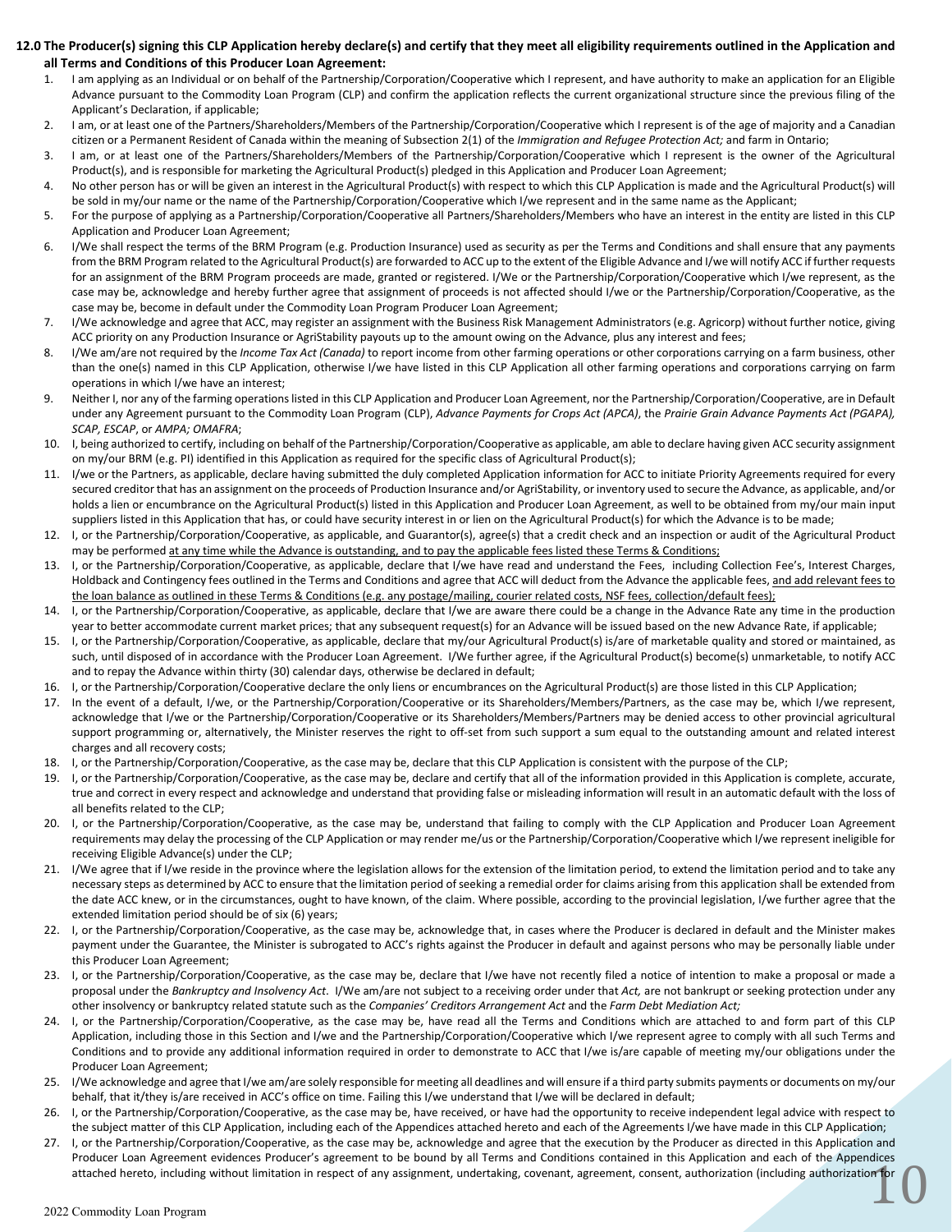#### **12.0 The Producer(s) signing this CLP Application hereby declare(s) and certify that they meet all eligibility requirements outlined in the Application and all Terms and Conditions of this Producer Loan Agreement:**

- 1. I am applying as an Individual or on behalf of the Partnership/Corporation/Cooperative which I represent, and have authority to make an application for an Eligible Advance pursuant to the Commodity Loan Program (CLP) and confirm the application reflects the current organizational structure since the previous filing of the Applicant's Declaration, if applicable;
- 2. I am, or at least one of the Partners/Shareholders/Members of the Partnership/Corporation/Cooperative which I represent is of the age of majority and a Canadian citizen or a Permanent Resident of Canada within the meaning of Subsection 2(1) of the *Immigration and Refugee Protection Act;* and farm in Ontario;
- 3. I am, or at least one of the Partners/Shareholders/Members of the Partnership/Corporation/Cooperative which I represent is the owner of the Agricultural Product(s), and is responsible for marketing the Agricultural Product(s) pledged in this Application and Producer Loan Agreement;
- 4. No other person has or will be given an interest in the Agricultural Product(s) with respect to which this CLP Application is made and the Agricultural Product(s) will be sold in my/our name or the name of the Partnership/Corporation/Cooperative which I/we represent and in the same name as the Applicant;
- 5. For the purpose of applying as a Partnership/Corporation/Cooperative all Partners/Shareholders/Members who have an interest in the entity are listed in this CLP Application and Producer Loan Agreement;
- 6. I/We shall respect the terms of the BRM Program (e.g. Production Insurance) used as security as per the Terms and Conditions and shall ensure that any payments from the BRM Program related to the Agricultural Product(s) are forwarded to ACC up to the extent of the Eligible Advance and I/we will notify ACC if further requests for an assignment of the BRM Program proceeds are made, granted or registered. I/We or the Partnership/Corporation/Cooperative which I/we represent, as the case may be, acknowledge and hereby further agree that assignment of proceeds is not affected should I/we or the Partnership/Corporation/Cooperative, as the case may be, become in default under the Commodity Loan Program Producer Loan Agreement;
- 7. I/We acknowledge and agree that ACC, may register an assignment with the Business Risk Management Administrators (e.g. Agricorp) without further notice, giving ACC priority on any Production Insurance or AgriStability payouts up to the amount owing on the Advance, plus any interest and fees;
- 8. I/We am/are not required by the *Income Tax Act (Canada)* to report income from other farming operations or other corporations carrying on a farm business, other than the one(s) named in this CLP Application, otherwise I/we have listed in this CLP Application all other farming operations and corporations carrying on farm operations in which I/we have an interest;
- 9. Neither I, nor any of the farming operations listed in this CLP Application and Producer Loan Agreement, nor the Partnership/Corporation/Cooperative, are in Default under any Agreement pursuant to the Commodity Loan Program (CLP), *Advance Payments for Crops Act (APCA)*, the *Prairie Grain Advance Payments Act (PGAPA), SCAP, ESCAP*, or *AMPA; OMAFRA*;
- 10. I, being authorized to certify, including on behalf of the Partnership/Corporation/Cooperative as applicable, am able to declare having given ACC security assignment on my/our BRM (e.g. PI) identified in this Application as required for the specific class of Agricultural Product(s);
- 11. I/we or the Partners, as applicable, declare having submitted the duly completed Application information for ACC to initiate Priority Agreements required for every secured creditor that has an assignment on the proceeds of Production Insurance and/or AgriStability, or inventory used to secure the Advance, as applicable, and/or holds a lien or encumbrance on the Agricultural Product(s) listed in this Application and Producer Loan Agreement, as well to be obtained from my/our main input suppliers listed in this Application that has, or could have security interest in or lien on the Agricultural Product(s) for which the Advance is to be made;
- 12. I, or the Partnership/Corporation/Cooperative, as applicable, and Guarantor(s), agree(s) that a credit check and an inspection or audit of the Agricultural Product may be performed at any time while the Advance is outstanding, and to pay the applicable fees listed these Terms & Conditions;
- 13. I, or the Partnership/Corporation/Cooperative, as applicable, declare that I/we have read and understand the Fees, including Collection Fee's, Interest Charges, Holdback and Contingency fees outlined in the Terms and Conditions and agree that ACC will deduct from the Advance the applicable fees, and add relevant fees to the loan balance as outlined in these Terms & Conditions (e.g. any postage/mailing, courier related costs, NSF fees, collection/default fees);
- 14. I, or the Partnership/Corporation/Cooperative, as applicable, declare that I/we are aware there could be a change in the Advance Rate any time in the production year to better accommodate current market prices; that any subsequent request(s) for an Advance will be issued based on the new Advance Rate, if applicable;
- 15. I, or the Partnership/Corporation/Cooperative, as applicable, declare that my/our Agricultural Product(s) is/are of marketable quality and stored or maintained, as such, until disposed of in accordance with the Producer Loan Agreement. I/We further agree, if the Agricultural Product(s) become(s) unmarketable, to notify ACC and to repay the Advance within thirty (30) calendar days, otherwise be declared in default;
- 16. I, or the Partnership/Corporation/Cooperative declare the only liens or encumbrances on the Agricultural Product(s) are those listed in this CLP Application;
- 17. In the event of a default, I/we, or the Partnership/Corporation/Cooperative or its Shareholders/Members/Partners, as the case may be, which I/we represent, acknowledge that I/we or the Partnership/Corporation/Cooperative or its Shareholders/Members/Partners may be denied access to other provincial agricultural support programming or, alternatively, the Minister reserves the right to off-set from such support a sum equal to the outstanding amount and related interest charges and all recovery costs;
- 18. I, or the Partnership/Corporation/Cooperative, as the case may be, declare that this CLP Application is consistent with the purpose of the CLP;
- 19. I, or the Partnership/Corporation/Cooperative, as the case may be, declare and certify that all of the information provided in this Application is complete, accurate, true and correct in every respect and acknowledge and understand that providing false or misleading information will result in an automatic default with the loss of all benefits related to the CLP;
- 20. I, or the Partnership/Corporation/Cooperative, as the case may be, understand that failing to comply with the CLP Application and Producer Loan Agreement requirements may delay the processing of the CLP Application or may render me/us or the Partnership/Corporation/Cooperative which I/we represent ineligible for receiving Eligible Advance(s) under the CLP;
- 21. I/We agree that if I/we reside in the province where the legislation allows for the extension of the limitation period, to extend the limitation period and to take any necessary steps as determined by ACC to ensure that the limitation period of seeking a remedial order for claims arising from this application shall be extended from the date ACC knew, or in the circumstances, ought to have known, of the claim. Where possible, according to the provincial legislation, I/we further agree that the extended limitation period should be of six (6) years;
- 22. I, or the Partnership/Corporation/Cooperative, as the case may be, acknowledge that, in cases where the Producer is declared in default and the Minister makes payment under the Guarantee, the Minister is subrogated to ACC's rights against the Producer in default and against persons who may be personally liable under this Producer Loan Agreement;
- 23. I, or the Partnership/Corporation/Cooperative, as the case may be, declare that I/we have not recently filed a notice of intention to make a proposal or made a proposal under the *Bankruptcy and Insolvency Act*. I/We am/are not subject to a receiving order under that *Act,* are not bankrupt or seeking protection under any other insolvency or bankruptcy related statute such as the *Companies' Creditors Arrangement Act* and the *Farm Debt Mediation Act;*
- 24. I, or the Partnership/Corporation/Cooperative, as the case may be, have read all the Terms and Conditions which are attached to and form part of this CLP Application, including those in this Section and I/we and the Partnership/Corporation/Cooperative which I/we represent agree to comply with all such Terms and Conditions and to provide any additional information required in order to demonstrate to ACC that I/we is/are capable of meeting my/our obligations under the Producer Loan Agreement;
- 25. I/We acknowledge and agree that I/we am/are solely responsible for meeting all deadlines and will ensure if a third party submits payments or documents on my/our behalf, that it/they is/are received in ACC's office on time. Failing this I/we understand that I/we will be declared in default;
- 26. I, or the Partnership/Corporation/Cooperative, as the case may be, have received, or have had the opportunity to receive independent legal advice with respect to
- the subject matter of this CLP Application, including each of the Appendices attached hereto and each of the Agreements I/we have made in this CLP Application; 27. I, or the Partnership/Corporation/Cooperative, as the case may be, acknowledge and agree that the execution by the Producer as directed in this Application and
- $10$ Producer Loan Agreement evidences Producer's agreement to be bound by all Terms and Conditions contained in this Application and each of the Appendices attached hereto, including without limitation in respect of any assignment, undertaking, covenant, agreement, consent, authorization (including authorization for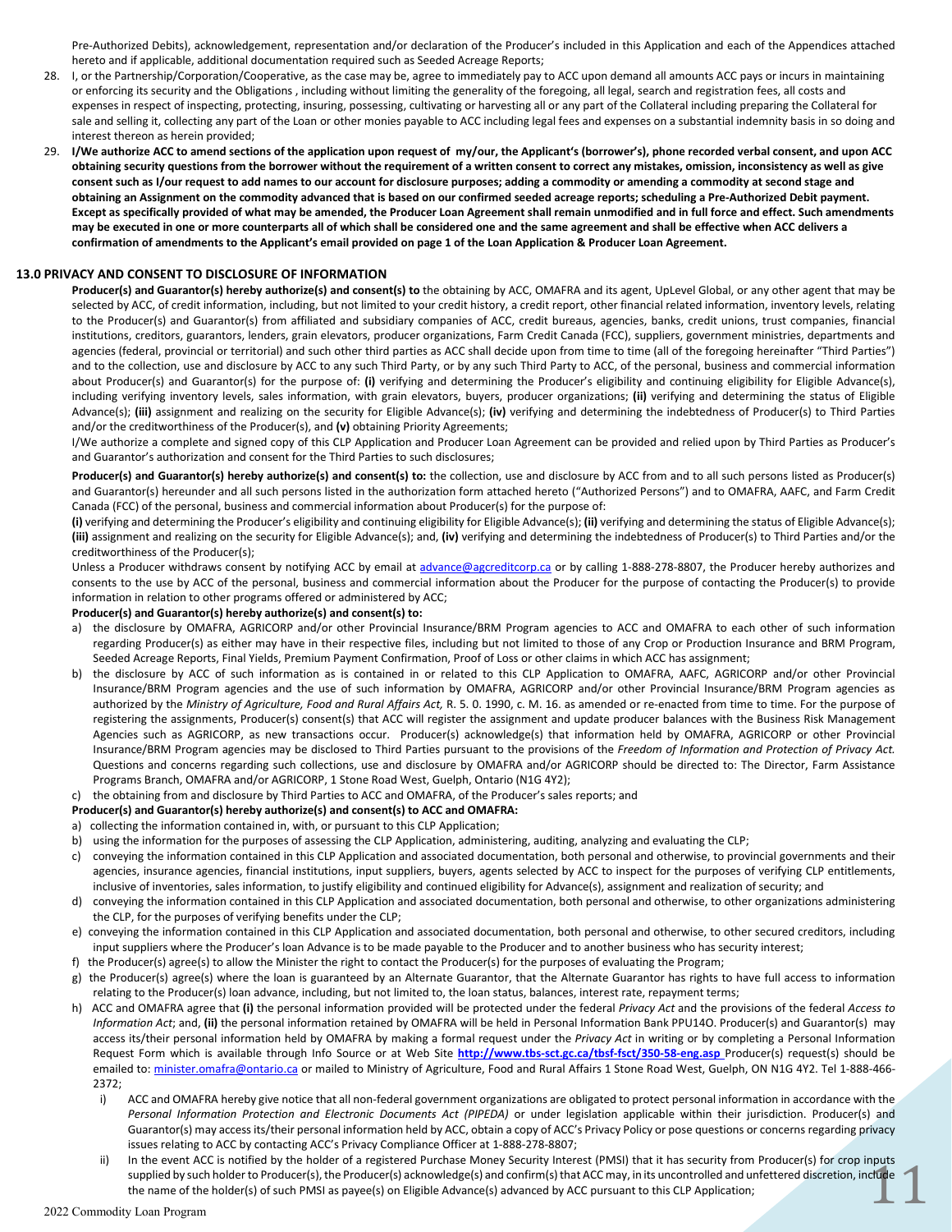Pre-Authorized Debits), acknowledgement, representation and/or declaration of the Producer's included in this Application and each of the Appendices attached hereto and if applicable, additional documentation required such as Seeded Acreage Reports;

- 28. I, or the Partnership/Corporation/Cooperative, as the case may be, agree to immediately pay to ACC upon demand all amounts ACC pays or incurs in maintaining or enforcing its security and the Obligations , including without limiting the generality of the foregoing, all legal, search and registration fees, all costs and expenses in respect of inspecting, protecting, insuring, possessing, cultivating or harvesting all or any part of the Collateral including preparing the Collateral for sale and selling it, collecting any part of the Loan or other monies payable to ACC including legal fees and expenses on a substantial indemnity basis in so doing and interest thereon as herein provided;
- 29. **I/We authorize ACC to amend sections of the application upon request of my/our, the Applicant's (borrower's), phone recorded verbal consent, and upon ACC obtaining security questions from the borrower without the requirement of a written consent to correct any mistakes, omission, inconsistency as well as give consent such as I/our request to add names to our account for disclosure purposes; adding a commodity or amending a commodity at second stage and obtaining an Assignment on the commodity advanced that is based on our confirmed seeded acreage reports; scheduling a Pre-Authorized Debit payment. Except as specifically provided of what may be amended, the Producer Loan Agreement shall remain unmodified and in full force and effect. Such amendments may be executed in one or more counterparts all of which shall be considered one and the same agreement and shall be effective when ACC delivers a confirmation of amendments to the Applicant's email provided on page 1 of the Loan Application & Producer Loan Agreement.**

#### **13.0 PRIVACY AND CONSENT TO DISCLOSURE OF INFORMATION**

**Producer(s) and Guarantor(s) hereby authorize(s) and consent(s) to** the obtaining by ACC, OMAFRA and its agent, UpLevel Global, or any other agent that may be selected by ACC, of credit information, including, but not limited to your credit history, a credit report, other financial related information, inventory levels, relating to the Producer(s) and Guarantor(s) from affiliated and subsidiary companies of ACC, credit bureaus, agencies, banks, credit unions, trust companies, financial institutions, creditors, guarantors, lenders, grain elevators, producer organizations, Farm Credit Canada (FCC), suppliers, government ministries, departments and agencies (federal, provincial or territorial) and such other third parties as ACC shall decide upon from time to time (all of the foregoing hereinafter "Third Parties") and to the collection, use and disclosure by ACC to any such Third Party, or by any such Third Party to ACC, of the personal, business and commercial information about Producer(s) and Guarantor(s) for the purpose of: (i) verifying and determining the Producer's eligibility and continuing eligibility for Eligible Advance(s), including verifying inventory levels, sales information, with grain elevators, buyers, producer organizations; **(ii)** verifying and determining the status of Eligible Advance(s); **(iii)** assignment and realizing on the security for Eligible Advance(s); **(iv)** verifying and determining the indebtedness of Producer(s) to Third Parties and/or the creditworthiness of the Producer(s), and **(v)** obtaining Priority Agreements;

I/We authorize a complete and signed copy of this CLP Application and Producer Loan Agreement can be provided and relied upon by Third Parties as Producer's and Guarantor's authorization and consent for the Third Parties to such disclosures;

Producer(s) and Guarantor(s) hereby authorize(s) and consent(s) to: the collection, use and disclosure by ACC from and to all such persons listed as Producer(s) and Guarantor(s) hereunder and all such persons listed in the authorization form attached hereto ("Authorized Persons") and to OMAFRA, AAFC, and Farm Credit Canada (FCC) of the personal, business and commercial information about Producer(s) for the purpose of:

**(i)** verifying and determining the Producer's eligibility and continuing eligibility for Eligible Advance(s); **(ii)** verifying and determining the status of Eligible Advance(s); **(iii)** assignment and realizing on the security for Eligible Advance(s); and, **(iv)** verifying and determining the indebtedness of Producer(s) to Third Parties and/or the creditworthiness of the Producer(s);

Unless a Producer withdraws consent by notifying ACC by email at advance@agcreditcorp.ca or by calling 1-888-278-8807, the Producer hereby authorizes and consents to the use by ACC of the personal, business and commercial information about the Producer for the purpose of contacting the Producer(s) to provide information in relation to other programs offered or administered by ACC;

#### **Producer(s) and Guarantor(s) hereby authorize(s) and consent(s) to:**

- a) the disclosure by OMAFRA, AGRICORP and/or other Provincial Insurance/BRM Program agencies to ACC and OMAFRA to each other of such information regarding Producer(s) as either may have in their respective files, including but not limited to those of any Crop or Production Insurance and BRM Program, Seeded Acreage Reports, Final Yields, Premium Payment Confirmation, Proof of Loss or other claims in which ACC has assignment;
- b) the disclosure by ACC of such information as is contained in or related to this CLP Application to OMAFRA, AAFC, AGRICORP and/or other Provincial Insurance/BRM Program agencies and the use of such information by OMAFRA, AGRICORP and/or other Provincial Insurance/BRM Program agencies as authorized by the *Ministry of Agriculture, Food and Rural Affairs Act,* R. 5. 0. 1990, c. M. 16. as amended or re-enacted from time to time. For the purpose of registering the assignments, Producer(s) consent(s) that ACC will register the assignment and update producer balances with the Business Risk Management Agencies such as AGRICORP, as new transactions occur. Producer(s) acknowledge(s) that information held by OMAFRA, AGRICORP or other Provincial Insurance/BRM Program agencies may be disclosed to Third Parties pursuant to the provisions of the *Freedom of Information and Protection of Privacy Act.*  Questions and concerns regarding such collections, use and disclosure by OMAFRA and/or AGRICORP should be directed to: The Director, Farm Assistance Programs Branch, OMAFRA and/or AGRICORP, 1 Stone Road West, Guelph, Ontario (N1G 4Y2);
- c) the obtaining from and disclosure by Third Parties to ACC and OMAFRA, of the Producer's sales reports; and

#### **Producer(s) and Guarantor(s) hereby authorize(s) and consent(s) to ACC and OMAFRA:**

- a) collecting the information contained in, with, or pursuant to this CLP Application;
- b) using the information for the purposes of assessing the CLP Application, administering, auditing, analyzing and evaluating the CLP;
- c) conveying the information contained in this CLP Application and associated documentation, both personal and otherwise, to provincial governments and their agencies, insurance agencies, financial institutions, input suppliers, buyers, agents selected by ACC to inspect for the purposes of verifying CLP entitlements, inclusive of inventories, sales information, to justify eligibility and continued eligibility for Advance(s), assignment and realization of security; and
- d) conveying the information contained in this CLP Application and associated documentation, both personal and otherwise, to other organizations administering the CLP, for the purposes of verifying benefits under the CLP;
- e) conveying the information contained in this CLP Application and associated documentation, both personal and otherwise, to other secured creditors, including input suppliers where the Producer's loan Advance is to be made payable to the Producer and to another business who has security interest;
- f) the Producer(s) agree(s) to allow the Minister the right to contact the Producer(s) for the purposes of evaluating the Program;
- g) the Producer(s) agree(s) where the loan is guaranteed by an Alternate Guarantor, that the Alternate Guarantor has rights to have full access to information relating to the Producer(s) loan advance, including, but not limited to, the loan status, balances, interest rate, repayment terms;
- h) ACC and OMAFRA agree that **(i)** the personal information provided will be protected under the federal *Privacy Act* and the provisions of the federal *Access to Information Act*; and, **(ii)** the personal information retained by OMAFRA will be held in Personal Information Bank PPU14O. Producer(s) and Guarantor(s) may access its/their personal information held by OMAFRA by making a formal request under the *Privacy Act* in writing or by completing a Personal Information Request Form which is available through Info Source or at Web Site **http://www.tbs-sct.gc.ca/tbsf-fsct/350-58-eng.asp** Producer(s) request(s) should be emailed to: minister.omafra@ontario.ca or mailed to Ministry of Agriculture, Food and Rural Affairs 1 Stone Road West, Guelph, ON N1G 4Y2. Tel 1-888-466-2372;
	- i) ACC and OMAFRA hereby give notice that all non-federal government organizations are obligated to protect personal information in accordance with the *Personal Information Protection and Electronic Documents Act (PIPEDA)* or under legislation applicable within their jurisdiction. Producer(s) and Guarantor(s) may access its/their personal information held by ACC, obtain a copy of ACC's Privacy Policy or pose questions or concerns regarding privacy issues relating to ACC by contacting ACC's Privacy Compliance Officer at 1-888-278-8807;
	- $\mathbf{1}$ In the event ACC is notified by the holder of a registered Purchase Money Security Interest (PMSI) that it has security from Producer(s) for crop inputs supplied by such holder to Producer(s), the Producer(s) acknowledge(s) and confirm(s) that ACC may, in its uncontrolled and unfettered discretion, include the name of the holder(s) of such PMSI as payee(s) on Eligible Advance(s) advanced by ACC pursuant to this CLP Application;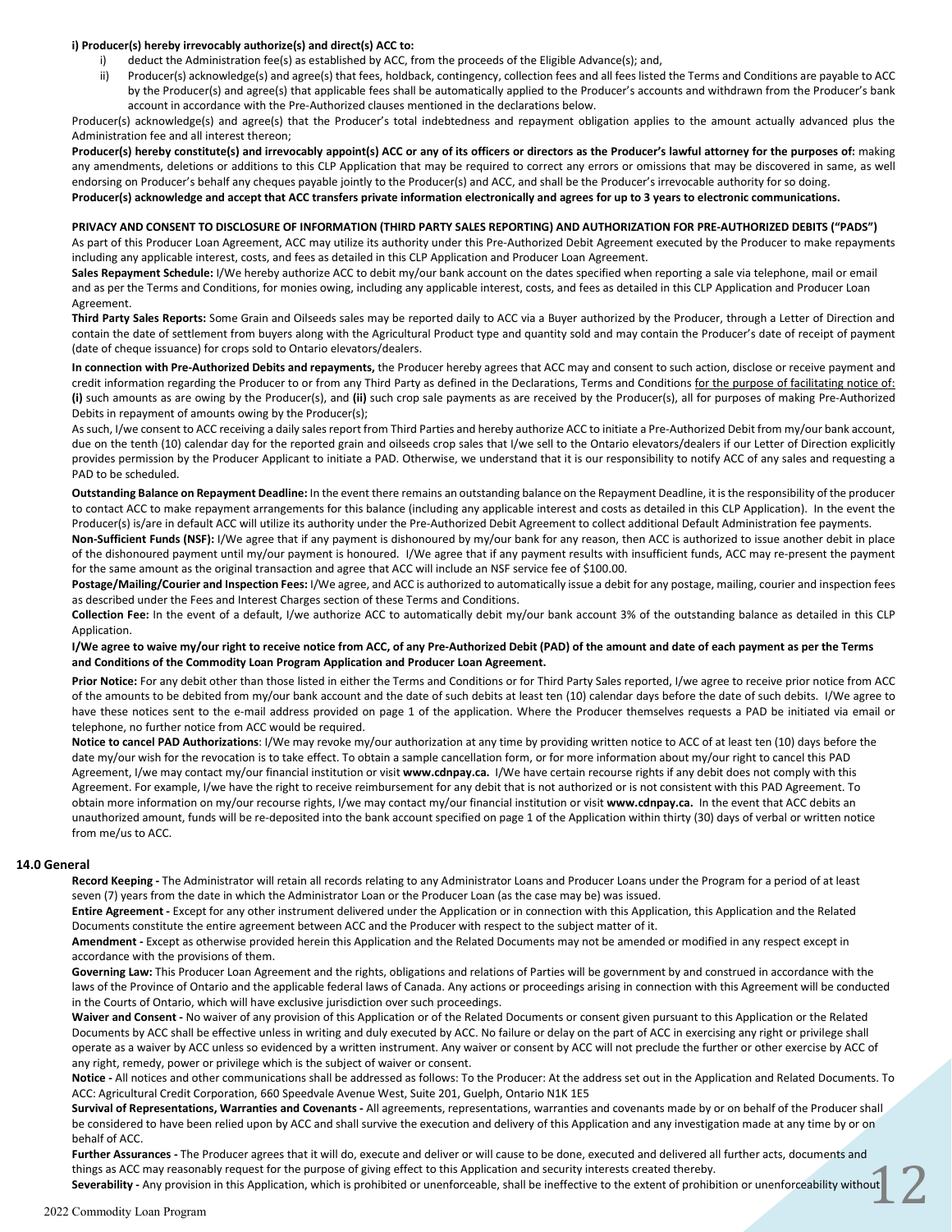#### **i) Producer(s) hereby irrevocably authorize(s) and direct(s) ACC to:**

- deduct the Administration fee(s) as established by ACC, from the proceeds of the Eligible Advance(s); and,
- ii) Producer(s) acknowledge(s) and agree(s) that fees, holdback, contingency, collection fees and all fees listed the Terms and Conditions are payable to ACC by the Producer(s) and agree(s) that applicable fees shall be automatically applied to the Producer's accounts and withdrawn from the Producer's bank account in accordance with the Pre-Authorized clauses mentioned in the declarations below.

Producer(s) acknowledge(s) and agree(s) that the Producer's total indebtedness and repayment obligation applies to the amount actually advanced plus the Administration fee and all interest thereon;

Producer(s) hereby constitute(s) and irrevocably appoint(s) ACC or any of its officers or directors as the Producer's lawful attorney for the purposes of: making any amendments, deletions or additions to this CLP Application that may be required to correct any errors or omissions that may be discovered in same, as well endorsing on Producer's behalf any cheques payable jointly to the Producer(s) and ACC, and shall be the Producer's irrevocable authority for so doing. **Producer(s) acknowledge and accept that ACC transfers private information electronically and agrees for up to 3 years to electronic communications.**

#### **PRIVACY AND CONSENT TO DISCLOSURE OF INFORMATION (THIRD PARTY SALES REPORTING) AND AUTHORIZATION FOR PRE-AUTHORIZED DEBITS ("PADS")**

As part of this Producer Loan Agreement, ACC may utilize its authority under this Pre-Authorized Debit Agreement executed by the Producer to make repayments including any applicable interest, costs, and fees as detailed in this CLP Application and Producer Loan Agreement.

**Sales Repayment Schedule:** I/We hereby authorize ACC to debit my/our bank account on the dates specified when reporting a sale via telephone, mail or email and as per the Terms and Conditions, for monies owing, including any applicable interest, costs, and fees as detailed in this CLP Application and Producer Loan Agreement.

**Third Party Sales Reports:** Some Grain and Oilseeds sales may be reported daily to ACC via a Buyer authorized by the Producer, through a Letter of Direction and contain the date of settlement from buyers along with the Agricultural Product type and quantity sold and may contain the Producer's date of receipt of payment (date of cheque issuance) for crops sold to Ontario elevators/dealers.

**In connection with Pre-Authorized Debits and repayments,** the Producer hereby agrees that ACC may and consent to such action, disclose or receive payment and credit information regarding the Producer to or from any Third Party as defined in the Declarations, Terms and Conditions for the purpose of facilitating notice of: **(i)** such amounts as are owing by the Producer(s), and **(ii)** such crop sale payments as are received by the Producer(s), all for purposes of making Pre-Authorized Debits in repayment of amounts owing by the Producer(s);

As such, I/we consent to ACC receiving a daily sales report from Third Parties and hereby authorize ACC to initiate a Pre-Authorized Debit from my/our bank account, due on the tenth (10) calendar day for the reported grain and oilseeds crop sales that I/we sell to the Ontario elevators/dealers if our Letter of Direction explicitly provides permission by the Producer Applicant to initiate a PAD. Otherwise, we understand that it is our responsibility to notify ACC of any sales and requesting a PAD to be scheduled.

**Outstanding Balance on Repayment Deadline:** In the event there remains an outstanding balance on the Repayment Deadline, it is the responsibility of the producer to contact ACC to make repayment arrangements for this balance (including any applicable interest and costs as detailed in this CLP Application). In the event the Producer(s) is/are in default ACC will utilize its authority under the Pre-Authorized Debit Agreement to collect additional Default Administration fee payments.

**Non-Sufficient Funds (NSF):** I/We agree that if any payment is dishonoured by my/our bank for any reason, then ACC is authorized to issue another debit in place of the dishonoured payment until my/our payment is honoured. I/We agree that if any payment results with insufficient funds, ACC may re-present the payment for the same amount as the original transaction and agree that ACC will include an NSF service fee of \$100.00.

**Postage/Mailing/Courier and Inspection Fees:** I/We agree, and ACC is authorized to automatically issue a debit for any postage, mailing, courier and inspection fees as described under the Fees and Interest Charges section of these Terms and Conditions.

**Collection Fee:** In the event of a default, I/we authorize ACC to automatically debit my/our bank account 3% of the outstanding balance as detailed in this CLP Application.

**I/We agree to waive my/our right to receive notice from ACC, of any Pre-Authorized Debit (PAD) of the amount and date of each payment as per the Terms and Conditions of the Commodity Loan Program Application and Producer Loan Agreement.**

**Prior Notice:** For any debit other than those listed in either the Terms and Conditions or for Third Party Sales reported, I/we agree to receive prior notice from ACC of the amounts to be debited from my/our bank account and the date of such debits at least ten (10) calendar days before the date of such debits. I/We agree to have these notices sent to the e-mail address provided on page 1 of the application. Where the Producer themselves requests a PAD be initiated via email or telephone, no further notice from ACC would be required.

**Notice to cancel PAD Authorizations**: I/We may revoke my/our authorization at any time by providing written notice to ACC of at least ten (10) days before the date my/our wish for the revocation is to take effect. To obtain a sample cancellation form, or for more information about my/our right to cancel this PAD Agreement, I/we may contact my/our financial institution or visit **www.cdnpay.ca.** I/We have certain recourse rights if any debit does not comply with this Agreement. For example, I/we have the right to receive reimbursement for any debit that is not authorized or is not consistent with this PAD Agreement. To obtain more information on my/our recourse rights, I/we may contact my/our financial institution or visit **www.cdnpay.ca.** In the event that ACC debits an unauthorized amount, funds will be re-deposited into the bank account specified on page 1 of the Application within thirty (30) days of verbal or written notice from me/us to ACC.

#### **14.0 General**

**Record Keeping -** The Administrator will retain all records relating to any Administrator Loans and Producer Loans under the Program for a period of at least seven (7) years from the date in which the Administrator Loan or the Producer Loan (as the case may be) was issued.

**Entire Agreement -** Except for any other instrument delivered under the Application or in connection with this Application, this Application and the Related Documents constitute the entire agreement between ACC and the Producer with respect to the subject matter of it.

**Amendment -** Except as otherwise provided herein this Application and the Related Documents may not be amended or modified in any respect except in accordance with the provisions of them.

Governing Law: This Producer Loan Agreement and the rights, obligations and relations of Parties will be government by and construed in accordance with the laws of the Province of Ontario and the applicable federal laws of Canada. Any actions or proceedings arising in connection with this Agreement will be conducted in the Courts of Ontario, which will have exclusive jurisdiction over such proceedings.

**Waiver and Consent -** No waiver of any provision of this Application or of the Related Documents or consent given pursuant to this Application or the Related Documents by ACC shall be effective unless in writing and duly executed by ACC. No failure or delay on the part of ACC in exercising any right or privilege shall operate as a waiver by ACC unless so evidenced by a written instrument. Any waiver or consent by ACC will not preclude the further or other exercise by ACC of any right, remedy, power or privilege which is the subject of waiver or consent.

**Notice -** All notices and other communications shall be addressed as follows: To the Producer: At the address set out in the Application and Related Documents. To ACC: Agricultural Credit Corporation, 660 Speedvale Avenue West, Suite 201, Guelph, Ontario N1K 1E5

**Survival of Representations, Warranties and Covenants -** All agreements, representations, warranties and covenants made by or on behalf of the Producer shall be considered to have been relied upon by ACC and shall survive the execution and delivery of this Application and any investigation made at any time by or on behalf of ACC.

**Further Assurances -** The Producer agrees that it will do, execute and deliver or will cause to be done, executed and delivered all further acts, documents and things as ACC may reasonably request for the purpose of giving effect to this Application and security interests created thereby.

 $\mathbb{Z}$ **Severability -** Any provision in this Application, which is prohibited or unenforceable, shall be ineffective to the extent of prohibition or unenforceability without